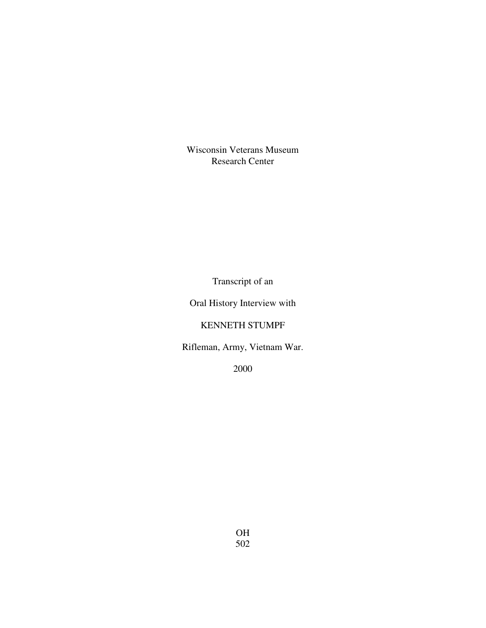Wisconsin Veterans Museum Research Center

Transcript of an

Oral History Interview with

KENNETH STUMPF

Rifleman, Army, Vietnam War.

2000

OH 502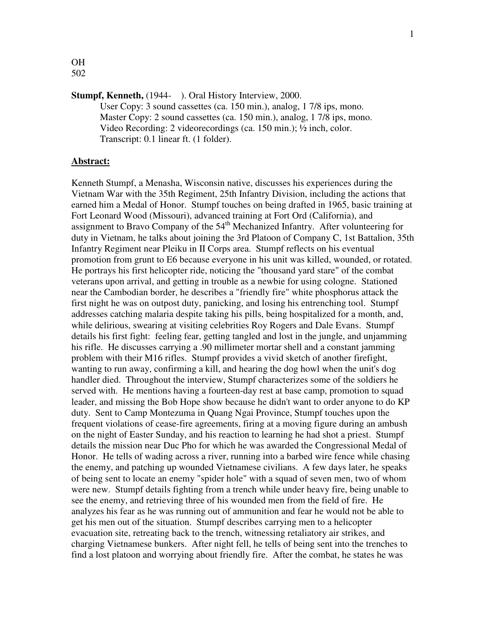OH 502

# **Stumpf, Kenneth,** (1944- ). Oral History Interview, 2000.

User Copy: 3 sound cassettes (ca. 150 min.), analog, 1 7/8 ips, mono. Master Copy: 2 sound cassettes (ca. 150 min.), analog, 1 7/8 ips, mono. Video Recording: 2 videorecordings (ca. 150 min.); ½ inch, color. Transcript: 0.1 linear ft. (1 folder).

### **Abstract:**

Kenneth Stumpf, a Menasha, Wisconsin native, discusses his experiences during the Vietnam War with the 35th Regiment, 25th Infantry Division, including the actions that earned him a Medal of Honor. Stumpf touches on being drafted in 1965, basic training at Fort Leonard Wood (Missouri), advanced training at Fort Ord (California), and assignment to Bravo Company of the 54<sup>th</sup> Mechanized Infantry. After volunteering for duty in Vietnam, he talks about joining the 3rd Platoon of Company C, 1st Battalion, 35th Infantry Regiment near Pleiku in II Corps area. Stumpf reflects on his eventual promotion from grunt to E6 because everyone in his unit was killed, wounded, or rotated. He portrays his first helicopter ride, noticing the "thousand yard stare" of the combat veterans upon arrival, and getting in trouble as a newbie for using cologne. Stationed near the Cambodian border, he describes a "friendly fire" white phosphorus attack the first night he was on outpost duty, panicking, and losing his entrenching tool. Stumpf addresses catching malaria despite taking his pills, being hospitalized for a month, and, while delirious, swearing at visiting celebrities Roy Rogers and Dale Evans. Stumpf details his first fight: feeling fear, getting tangled and lost in the jungle, and unjamming his rifle. He discusses carrying a .90 millimeter mortar shell and a constant jamming problem with their M16 rifles. Stumpf provides a vivid sketch of another firefight, wanting to run away, confirming a kill, and hearing the dog howl when the unit's dog handler died. Throughout the interview, Stumpf characterizes some of the soldiers he served with. He mentions having a fourteen-day rest at base camp, promotion to squad leader, and missing the Bob Hope show because he didn't want to order anyone to do KP duty. Sent to Camp Montezuma in Quang Ngai Province, Stumpf touches upon the frequent violations of cease-fire agreements, firing at a moving figure during an ambush on the night of Easter Sunday, and his reaction to learning he had shot a priest. Stumpf details the mission near Duc Pho for which he was awarded the Congressional Medal of Honor. He tells of wading across a river, running into a barbed wire fence while chasing the enemy, and patching up wounded Vietnamese civilians. A few days later, he speaks of being sent to locate an enemy "spider hole" with a squad of seven men, two of whom were new. Stumpf details fighting from a trench while under heavy fire, being unable to see the enemy, and retrieving three of his wounded men from the field of fire. He analyzes his fear as he was running out of ammunition and fear he would not be able to get his men out of the situation. Stumpf describes carrying men to a helicopter evacuation site, retreating back to the trench, witnessing retaliatory air strikes, and charging Vietnamese bunkers. After night fell, he tells of being sent into the trenches to find a lost platoon and worrying about friendly fire. After the combat, he states he was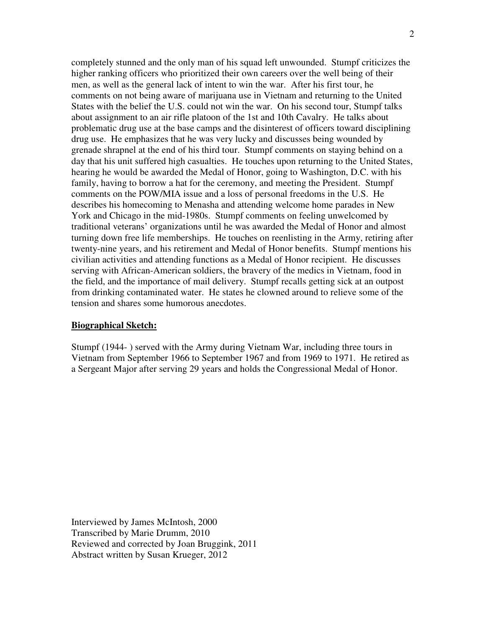completely stunned and the only man of his squad left unwounded. Stumpf criticizes the higher ranking officers who prioritized their own careers over the well being of their men, as well as the general lack of intent to win the war. After his first tour, he comments on not being aware of marijuana use in Vietnam and returning to the United States with the belief the U.S. could not win the war. On his second tour, Stumpf talks about assignment to an air rifle platoon of the 1st and 10th Cavalry. He talks about problematic drug use at the base camps and the disinterest of officers toward disciplining drug use. He emphasizes that he was very lucky and discusses being wounded by grenade shrapnel at the end of his third tour. Stumpf comments on staying behind on a day that his unit suffered high casualties. He touches upon returning to the United States, hearing he would be awarded the Medal of Honor, going to Washington, D.C. with his family, having to borrow a hat for the ceremony, and meeting the President. Stumpf comments on the POW/MIA issue and a loss of personal freedoms in the U.S. He describes his homecoming to Menasha and attending welcome home parades in New York and Chicago in the mid-1980s. Stumpf comments on feeling unwelcomed by traditional veterans' organizations until he was awarded the Medal of Honor and almost turning down free life memberships. He touches on reenlisting in the Army, retiring after twenty-nine years, and his retirement and Medal of Honor benefits. Stumpf mentions his civilian activities and attending functions as a Medal of Honor recipient. He discusses serving with African-American soldiers, the bravery of the medics in Vietnam, food in the field, and the importance of mail delivery. Stumpf recalls getting sick at an outpost from drinking contaminated water. He states he clowned around to relieve some of the tension and shares some humorous anecdotes.

### **Biographical Sketch:**

Stumpf (1944- ) served with the Army during Vietnam War, including three tours in Vietnam from September 1966 to September 1967 and from 1969 to 1971. He retired as a Sergeant Major after serving 29 years and holds the Congressional Medal of Honor.

Interviewed by James McIntosh, 2000 Transcribed by Marie Drumm, 2010 Reviewed and corrected by Joan Bruggink, 2011 Abstract written by Susan Krueger, 2012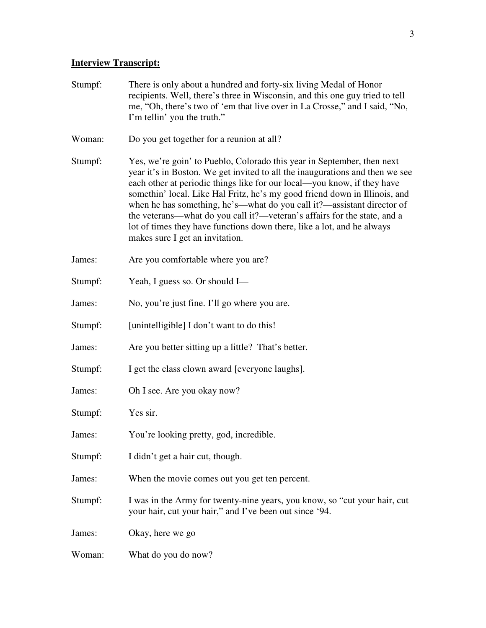# **Interview Transcript:**

| Stumpf: | There is only about a hundred and forty-six living Medal of Honor<br>recipients. Well, there's three in Wisconsin, and this one guy tried to tell<br>me, "Oh, there's two of 'em that live over in La Crosse," and I said, "No,<br>I'm tellin' you the truth."                                                                                                                                                                                                                                                                                                                     |
|---------|------------------------------------------------------------------------------------------------------------------------------------------------------------------------------------------------------------------------------------------------------------------------------------------------------------------------------------------------------------------------------------------------------------------------------------------------------------------------------------------------------------------------------------------------------------------------------------|
| Woman:  | Do you get together for a reunion at all?                                                                                                                                                                                                                                                                                                                                                                                                                                                                                                                                          |
| Stumpf: | Yes, we're goin' to Pueblo, Colorado this year in September, then next<br>year it's in Boston. We get invited to all the inaugurations and then we see<br>each other at periodic things like for our local—you know, if they have<br>somethin' local. Like Hal Fritz, he's my good friend down in Illinois, and<br>when he has something, he's—what do you call it?—assistant director of<br>the veterans—what do you call it?—veteran's affairs for the state, and a<br>lot of times they have functions down there, like a lot, and he always<br>makes sure I get an invitation. |
| James:  | Are you comfortable where you are?                                                                                                                                                                                                                                                                                                                                                                                                                                                                                                                                                 |
| Stumpf: | Yeah, I guess so. Or should I-                                                                                                                                                                                                                                                                                                                                                                                                                                                                                                                                                     |
| James:  | No, you're just fine. I'll go where you are.                                                                                                                                                                                                                                                                                                                                                                                                                                                                                                                                       |
| Stumpf: | [unintelligible] I don't want to do this!                                                                                                                                                                                                                                                                                                                                                                                                                                                                                                                                          |
| James:  | Are you better sitting up a little? That's better.                                                                                                                                                                                                                                                                                                                                                                                                                                                                                                                                 |
| Stumpf: | I get the class clown award [everyone laughs].                                                                                                                                                                                                                                                                                                                                                                                                                                                                                                                                     |
| James:  | Oh I see. Are you okay now?                                                                                                                                                                                                                                                                                                                                                                                                                                                                                                                                                        |
| Stumpf: | Yes sir.                                                                                                                                                                                                                                                                                                                                                                                                                                                                                                                                                                           |
| James:  | You're looking pretty, god, incredible.                                                                                                                                                                                                                                                                                                                                                                                                                                                                                                                                            |
| Stumpf: | I didn't get a hair cut, though.                                                                                                                                                                                                                                                                                                                                                                                                                                                                                                                                                   |
| James:  | When the movie comes out you get ten percent.                                                                                                                                                                                                                                                                                                                                                                                                                                                                                                                                      |
| Stumpf: | I was in the Army for twenty-nine years, you know, so "cut your hair, cut<br>your hair, cut your hair," and I've been out since '94.                                                                                                                                                                                                                                                                                                                                                                                                                                               |
| James:  | Okay, here we go                                                                                                                                                                                                                                                                                                                                                                                                                                                                                                                                                                   |
| Woman:  | What do you do now?                                                                                                                                                                                                                                                                                                                                                                                                                                                                                                                                                                |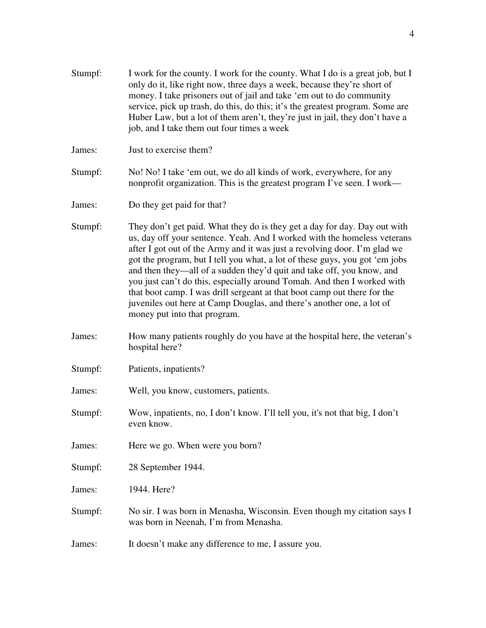- Stumpf: I work for the county. I work for the county. What I do is a great job, but I only do it, like right now, three days a week, because they're short of money. I take prisoners out of jail and take 'em out to do community service, pick up trash, do this, do this; it's the greatest program. Some are Huber Law, but a lot of them aren't, they're just in jail, they don't have a job, and I take them out four times a week
- James: Just to exercise them?
- Stumpf: No! No! I take 'em out, we do all kinds of work, everywhere, for any nonprofit organization. This is the greatest program I've seen. I work—
- James: Do they get paid for that?
- Stumpf: They don't get paid. What they do is they get a day for day. Day out with us, day off your sentence. Yeah. And I worked with the homeless veterans after I got out of the Army and it was just a revolving door. I'm glad we got the program, but I tell you what, a lot of these guys, you got 'em jobs and then they—all of a sudden they'd quit and take off, you know, and you just can't do this, especially around Tomah. And then I worked with that boot camp. I was drill sergeant at that boot camp out there for the juveniles out here at Camp Douglas, and there's another one, a lot of money put into that program.
- James: How many patients roughly do you have at the hospital here, the veteran's hospital here?
- Stumpf: Patients, inpatients?
- James: Well, you know, customers, patients.
- Stumpf: Wow, inpatients, no, I don't know. I'll tell you, it's not that big, I don't even know.
- James: Here we go. When were you born?
- Stumpf: 28 September 1944.
- James: 1944. Here?
- Stumpf: No sir. I was born in Menasha, Wisconsin. Even though my citation says I was born in Neenah, I'm from Menasha.
- James: It doesn't make any difference to me, I assure you.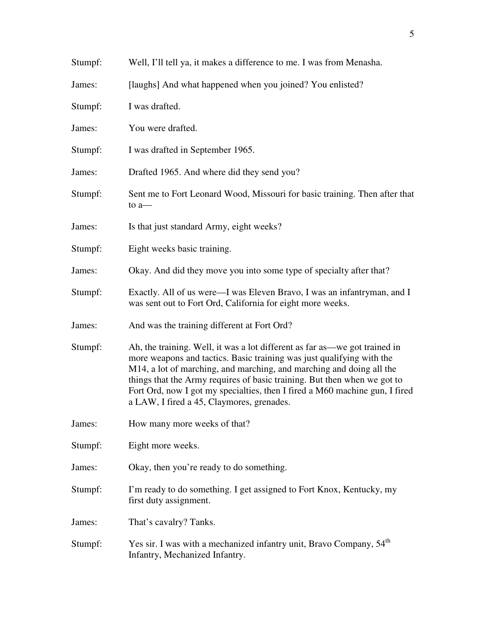| Stumpf: | Well, I'll tell ya, it makes a difference to me. I was from Menasha.                                                                                                                                                                                                                                                                                                                                                                |
|---------|-------------------------------------------------------------------------------------------------------------------------------------------------------------------------------------------------------------------------------------------------------------------------------------------------------------------------------------------------------------------------------------------------------------------------------------|
| James:  | [laughs] And what happened when you joined? You enlisted?                                                                                                                                                                                                                                                                                                                                                                           |
| Stumpf: | I was drafted.                                                                                                                                                                                                                                                                                                                                                                                                                      |
| James:  | You were drafted.                                                                                                                                                                                                                                                                                                                                                                                                                   |
| Stumpf: | I was drafted in September 1965.                                                                                                                                                                                                                                                                                                                                                                                                    |
| James:  | Drafted 1965. And where did they send you?                                                                                                                                                                                                                                                                                                                                                                                          |
| Stumpf: | Sent me to Fort Leonard Wood, Missouri for basic training. Then after that<br>to $a$ —                                                                                                                                                                                                                                                                                                                                              |
| James:  | Is that just standard Army, eight weeks?                                                                                                                                                                                                                                                                                                                                                                                            |
| Stumpf: | Eight weeks basic training.                                                                                                                                                                                                                                                                                                                                                                                                         |
| James:  | Okay. And did they move you into some type of specialty after that?                                                                                                                                                                                                                                                                                                                                                                 |
| Stumpf: | Exactly. All of us were—I was Eleven Bravo, I was an infantryman, and I<br>was sent out to Fort Ord, California for eight more weeks.                                                                                                                                                                                                                                                                                               |
| James:  | And was the training different at Fort Ord?                                                                                                                                                                                                                                                                                                                                                                                         |
| Stumpf: | Ah, the training. Well, it was a lot different as far as—we got trained in<br>more weapons and tactics. Basic training was just qualifying with the<br>M14, a lot of marching, and marching, and marching and doing all the<br>things that the Army requires of basic training. But then when we got to<br>Fort Ord, now I got my specialties, then I fired a M60 machine gun, I fired<br>a LAW, I fired a 45, Claymores, grenades. |
| James:  | How many more weeks of that?                                                                                                                                                                                                                                                                                                                                                                                                        |
| Stumpf: | Eight more weeks.                                                                                                                                                                                                                                                                                                                                                                                                                   |
| James:  | Okay, then you're ready to do something.                                                                                                                                                                                                                                                                                                                                                                                            |
| Stumpf: | I'm ready to do something. I get assigned to Fort Knox, Kentucky, my<br>first duty assignment.                                                                                                                                                                                                                                                                                                                                      |
| James:  | That's cavalry? Tanks.                                                                                                                                                                                                                                                                                                                                                                                                              |
| Stumpf: | Yes sir. I was with a mechanized infantry unit, Bravo Company, 54 <sup>th</sup><br>Infantry, Mechanized Infantry.                                                                                                                                                                                                                                                                                                                   |

5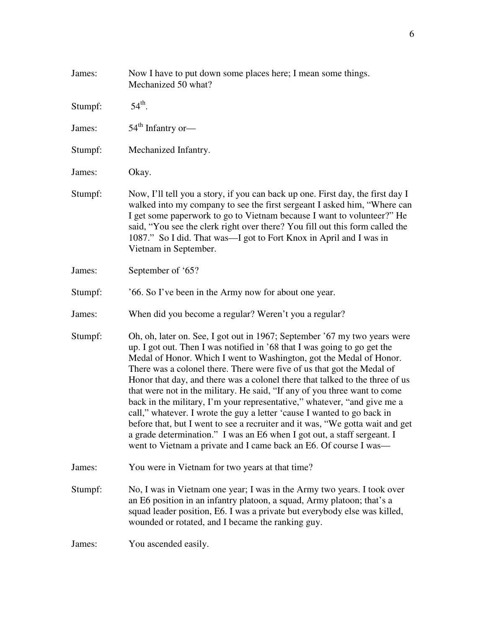| James:  | Now I have to put down some places here; I mean some things.<br>Mechanized 50 what?                                                                                                                                                                                                                                                                                                                                                                                                                                                                                                                                                                                                                                                                                                                                                                         |
|---------|-------------------------------------------------------------------------------------------------------------------------------------------------------------------------------------------------------------------------------------------------------------------------------------------------------------------------------------------------------------------------------------------------------------------------------------------------------------------------------------------------------------------------------------------------------------------------------------------------------------------------------------------------------------------------------------------------------------------------------------------------------------------------------------------------------------------------------------------------------------|
| Stumpf: | $54^{\text{th}}$ .                                                                                                                                                                                                                                                                                                                                                                                                                                                                                                                                                                                                                                                                                                                                                                                                                                          |
| James:  | $54th$ Infantry or-                                                                                                                                                                                                                                                                                                                                                                                                                                                                                                                                                                                                                                                                                                                                                                                                                                         |
| Stumpf: | Mechanized Infantry.                                                                                                                                                                                                                                                                                                                                                                                                                                                                                                                                                                                                                                                                                                                                                                                                                                        |
| James:  | Okay.                                                                                                                                                                                                                                                                                                                                                                                                                                                                                                                                                                                                                                                                                                                                                                                                                                                       |
| Stumpf: | Now, I'll tell you a story, if you can back up one. First day, the first day I<br>walked into my company to see the first sergeant I asked him, "Where can<br>I get some paperwork to go to Vietnam because I want to volunteer?" He<br>said, "You see the clerk right over there? You fill out this form called the<br>1087." So I did. That was—I got to Fort Knox in April and I was in<br>Vietnam in September.                                                                                                                                                                                                                                                                                                                                                                                                                                         |
| James:  | September of '65?                                                                                                                                                                                                                                                                                                                                                                                                                                                                                                                                                                                                                                                                                                                                                                                                                                           |
| Stumpf: | '66. So I've been in the Army now for about one year.                                                                                                                                                                                                                                                                                                                                                                                                                                                                                                                                                                                                                                                                                                                                                                                                       |
| James:  | When did you become a regular? Weren't you a regular?                                                                                                                                                                                                                                                                                                                                                                                                                                                                                                                                                                                                                                                                                                                                                                                                       |
| Stumpf: | Oh, oh, later on. See, I got out in 1967; September '67 my two years were<br>up. I got out. Then I was notified in '68 that I was going to go get the<br>Medal of Honor. Which I went to Washington, got the Medal of Honor.<br>There was a colonel there. There were five of us that got the Medal of<br>Honor that day, and there was a colonel there that talked to the three of us<br>that were not in the military. He said, "If any of you three want to come<br>back in the military, I'm your representative," whatever, "and give me a<br>call," whatever. I wrote the guy a letter 'cause I wanted to go back in<br>before that, but I went to see a recruiter and it was, "We gotta wait and get<br>a grade determination." I was an E6 when I got out, a staff sergeant. I<br>went to Vietnam a private and I came back an E6. Of course I was— |
| James:  | You were in Vietnam for two years at that time?                                                                                                                                                                                                                                                                                                                                                                                                                                                                                                                                                                                                                                                                                                                                                                                                             |
| Stumpf: | No, I was in Vietnam one year; I was in the Army two years. I took over<br>an E6 position in an infantry platoon, a squad, Army platoon; that's a<br>squad leader position, E6. I was a private but everybody else was killed,<br>wounded or rotated, and I became the ranking guy.                                                                                                                                                                                                                                                                                                                                                                                                                                                                                                                                                                         |
| James:  | You ascended easily.                                                                                                                                                                                                                                                                                                                                                                                                                                                                                                                                                                                                                                                                                                                                                                                                                                        |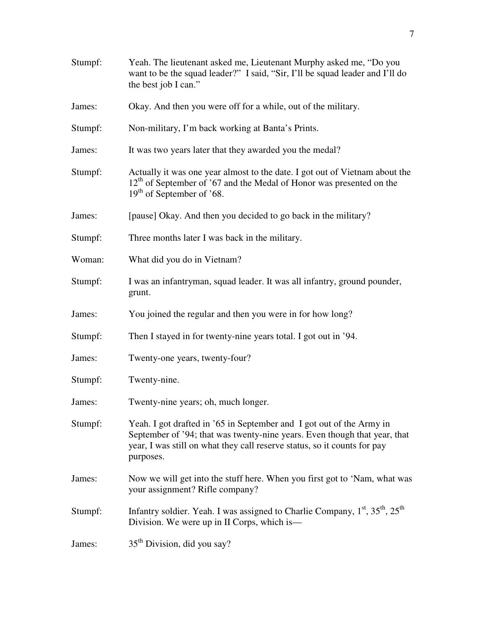| Stumpf: | Yeah. The lieutenant asked me, Lieutenant Murphy asked me, "Do you<br>want to be the squad leader?" I said, "Sir, I'll be squad leader and I'll do<br>the best job I can."                                                                 |
|---------|--------------------------------------------------------------------------------------------------------------------------------------------------------------------------------------------------------------------------------------------|
| James:  | Okay. And then you were off for a while, out of the military.                                                                                                                                                                              |
| Stumpf: | Non-military, I'm back working at Banta's Prints.                                                                                                                                                                                          |
| James:  | It was two years later that they awarded you the medal?                                                                                                                                                                                    |
| Stumpf: | Actually it was one year almost to the date. I got out of Vietnam about the<br>12 <sup>th</sup> of September of '67 and the Medal of Honor was presented on the<br>$19th$ of September of '68.                                             |
| James:  | [pause] Okay. And then you decided to go back in the military?                                                                                                                                                                             |
| Stumpf: | Three months later I was back in the military.                                                                                                                                                                                             |
| Woman:  | What did you do in Vietnam?                                                                                                                                                                                                                |
| Stumpf: | I was an infantryman, squad leader. It was all infantry, ground pounder,<br>grunt.                                                                                                                                                         |
| James:  | You joined the regular and then you were in for how long?                                                                                                                                                                                  |
| Stumpf: | Then I stayed in for twenty-nine years total. I got out in '94.                                                                                                                                                                            |
| James:  | Twenty-one years, twenty-four?                                                                                                                                                                                                             |
| Stumpf: | Twenty-nine.                                                                                                                                                                                                                               |
| James:  | Twenty-nine years; oh, much longer.                                                                                                                                                                                                        |
| Stumpf: | Yeah. I got drafted in '65 in September and I got out of the Army in<br>September of '94; that was twenty-nine years. Even though that year, that<br>year, I was still on what they call reserve status, so it counts for pay<br>purposes. |
| James:  | Now we will get into the stuff here. When you first got to 'Nam, what was<br>your assignment? Rifle company?                                                                                                                               |
| Stumpf: | Infantry soldier. Yeah. I was assigned to Charlie Company, 1 <sup>st</sup> , 35 <sup>th</sup> , 25 <sup>th</sup><br>Division. We were up in II Corps, which is—                                                                            |
| James:  | 35 <sup>th</sup> Division, did you say?                                                                                                                                                                                                    |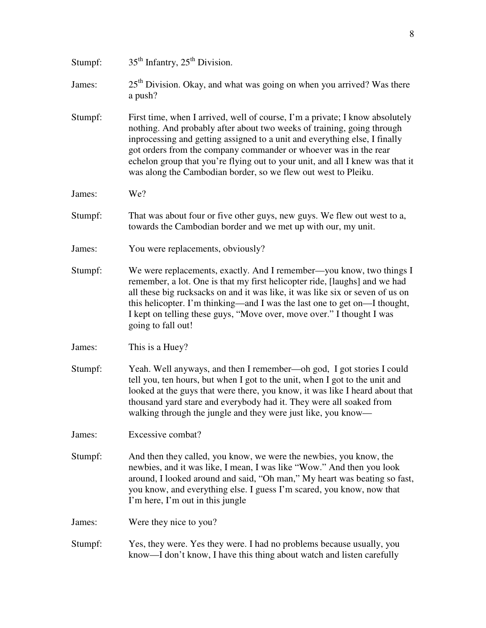| Stumpf: | $35th$ Infantry, $25th$ Division.                                                                                                                                                                                                                                                                                                                                                                                                                           |
|---------|-------------------------------------------------------------------------------------------------------------------------------------------------------------------------------------------------------------------------------------------------------------------------------------------------------------------------------------------------------------------------------------------------------------------------------------------------------------|
| James:  | $25th$ Division. Okay, and what was going on when you arrived? Was there<br>a push?                                                                                                                                                                                                                                                                                                                                                                         |
| Stumpf: | First time, when I arrived, well of course, I'm a private; I know absolutely<br>nothing. And probably after about two weeks of training, going through<br>inprocessing and getting assigned to a unit and everything else, I finally<br>got orders from the company commander or whoever was in the rear<br>echelon group that you're flying out to your unit, and all I knew was that it<br>was along the Cambodian border, so we flew out west to Pleiku. |
| James:  | We?                                                                                                                                                                                                                                                                                                                                                                                                                                                         |
| Stumpf: | That was about four or five other guys, new guys. We flew out west to a,<br>towards the Cambodian border and we met up with our, my unit.                                                                                                                                                                                                                                                                                                                   |
| James:  | You were replacements, obviously?                                                                                                                                                                                                                                                                                                                                                                                                                           |
| Stumpf: | We were replacements, exactly. And I remember—you know, two things I<br>remember, a lot. One is that my first helicopter ride, [laughs] and we had<br>all these big rucksacks on and it was like, it was like six or seven of us on<br>this helicopter. I'm thinking—and I was the last one to get on—I thought,<br>I kept on telling these guys, "Move over, move over." I thought I was<br>going to fall out!                                             |
| James:  | This is a Huey?                                                                                                                                                                                                                                                                                                                                                                                                                                             |
| Stumpf: | Yeah. Well anyways, and then I remember—oh god, I got stories I could<br>tell you, ten hours, but when I got to the unit, when I got to the unit and<br>looked at the guys that were there, you know, it was like I heard about that<br>thousand yard stare and everybody had it. They were all soaked from<br>walking through the jungle and they were just like, you know—                                                                                |
| James:  | Excessive combat?                                                                                                                                                                                                                                                                                                                                                                                                                                           |
| Stumpf: | And then they called, you know, we were the newbies, you know, the<br>newbies, and it was like, I mean, I was like "Wow." And then you look<br>around, I looked around and said, "Oh man," My heart was beating so fast,<br>you know, and everything else. I guess I'm scared, you know, now that<br>I'm here, I'm out in this jungle                                                                                                                       |
| James:  | Were they nice to you?                                                                                                                                                                                                                                                                                                                                                                                                                                      |
| Stumpf: | Yes, they were. Yes they were. I had no problems because usually, you<br>know—I don't know, I have this thing about watch and listen carefully                                                                                                                                                                                                                                                                                                              |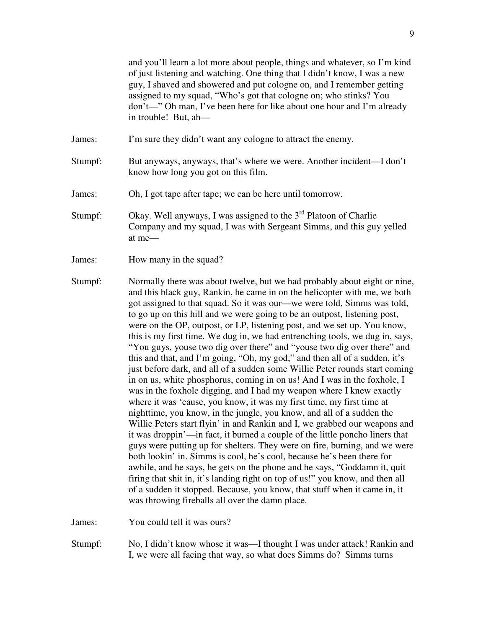and you'll learn a lot more about people, things and whatever, so I'm kind of just listening and watching. One thing that I didn't know, I was a new guy, I shaved and showered and put cologne on, and I remember getting assigned to my squad, "Who's got that cologne on; who stinks? You don't—" Oh man, I've been here for like about one hour and I'm already in trouble! But, ah—

- James: I'm sure they didn't want any cologne to attract the enemy.
- Stumpf: But anyways, anyways, that's where we were. Another incident—I don't know how long you got on this film.
- James: Oh, I got tape after tape; we can be here until tomorrow.
- Stumpf: Okay. Well anyways, I was assigned to the  $3<sup>rd</sup>$  Platoon of Charlie Company and my squad, I was with Sergeant Simms, and this guy yelled at me—
- James: How many in the squad?
- Stumpf: Normally there was about twelve, but we had probably about eight or nine, and this black guy, Rankin, he came in on the helicopter with me, we both got assigned to that squad. So it was our—we were told, Simms was told, to go up on this hill and we were going to be an outpost, listening post, were on the OP, outpost, or LP, listening post, and we set up. You know, this is my first time. We dug in, we had entrenching tools, we dug in, says, "You guys, youse two dig over there" and "youse two dig over there" and this and that, and I'm going, "Oh, my god," and then all of a sudden, it's just before dark, and all of a sudden some Willie Peter rounds start coming in on us, white phosphorus, coming in on us! And I was in the foxhole, I was in the foxhole digging, and I had my weapon where I knew exactly where it was 'cause, you know, it was my first time, my first time at nighttime, you know, in the jungle, you know, and all of a sudden the Willie Peters start flyin' in and Rankin and I, we grabbed our weapons and it was droppin'—in fact, it burned a couple of the little poncho liners that guys were putting up for shelters. They were on fire, burning, and we were both lookin' in. Simms is cool, he's cool, because he's been there for awhile, and he says, he gets on the phone and he says, "Goddamn it, quit firing that shit in, it's landing right on top of us!" you know, and then all of a sudden it stopped. Because, you know, that stuff when it came in, it was throwing fireballs all over the damn place.

James: You could tell it was ours?

Stumpf: No, I didn't know whose it was—I thought I was under attack! Rankin and I, we were all facing that way, so what does Simms do? Simms turns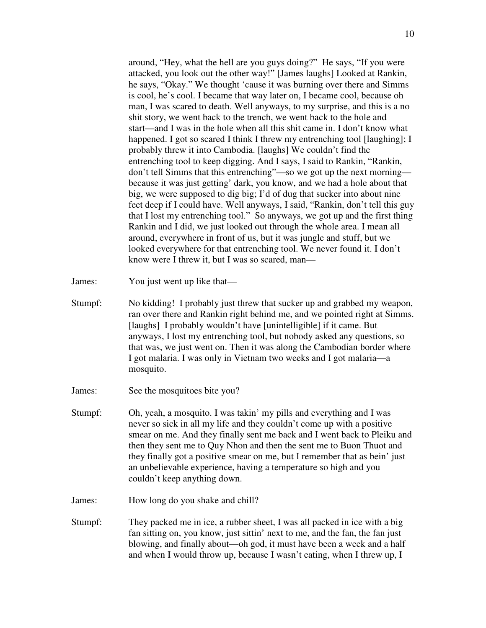around, "Hey, what the hell are you guys doing?" He says, "If you were attacked, you look out the other way!" [James laughs] Looked at Rankin, he says, "Okay." We thought 'cause it was burning over there and Simms is cool, he's cool. I became that way later on, I became cool, because oh man, I was scared to death. Well anyways, to my surprise, and this is a no shit story, we went back to the trench, we went back to the hole and start—and I was in the hole when all this shit came in. I don't know what happened. I got so scared I think I threw my entrenching tool [laughing]; I probably threw it into Cambodia. [laughs] We couldn't find the entrenching tool to keep digging. And I says, I said to Rankin, "Rankin, don't tell Simms that this entrenching"—so we got up the next morning because it was just getting' dark, you know, and we had a hole about that big, we were supposed to dig big; I'd of dug that sucker into about nine feet deep if I could have. Well anyways, I said, "Rankin, don't tell this guy that I lost my entrenching tool." So anyways, we got up and the first thing Rankin and I did, we just looked out through the whole area. I mean all around, everywhere in front of us, but it was jungle and stuff, but we looked everywhere for that entrenching tool. We never found it. I don't know were I threw it, but I was so scared, man—

James: You just went up like that—

- Stumpf: No kidding! I probably just threw that sucker up and grabbed my weapon, ran over there and Rankin right behind me, and we pointed right at Simms. [laughs] I probably wouldn't have [unintelligible] if it came. But anyways, I lost my entrenching tool, but nobody asked any questions, so that was, we just went on. Then it was along the Cambodian border where I got malaria. I was only in Vietnam two weeks and I got malaria—a mosquito.
- James: See the mosquitoes bite you?
- Stumpf: Oh, yeah, a mosquito. I was takin' my pills and everything and I was never so sick in all my life and they couldn't come up with a positive smear on me. And they finally sent me back and I went back to Pleiku and then they sent me to Quy Nhon and then the sent me to Buon Thuot and they finally got a positive smear on me, but I remember that as bein' just an unbelievable experience, having a temperature so high and you couldn't keep anything down.
- James: How long do you shake and chill?
- Stumpf: They packed me in ice, a rubber sheet, I was all packed in ice with a big fan sitting on, you know, just sittin' next to me, and the fan, the fan just blowing, and finally about—oh god, it must have been a week and a half and when I would throw up, because I wasn't eating, when I threw up, I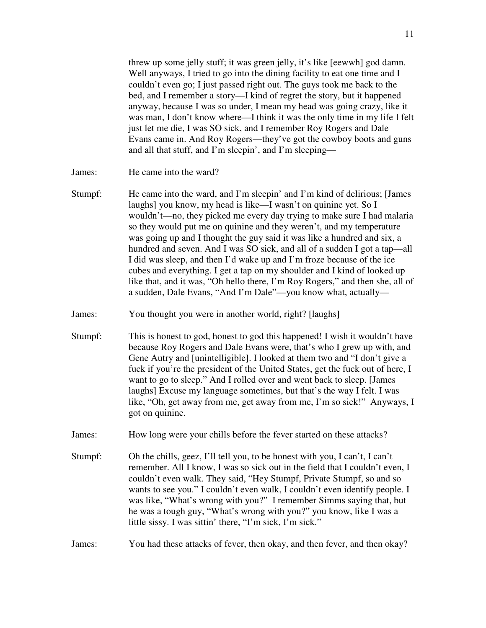threw up some jelly stuff; it was green jelly, it's like [eewwh] god damn. Well anyways, I tried to go into the dining facility to eat one time and I couldn't even go; I just passed right out. The guys took me back to the bed, and I remember a story—I kind of regret the story, but it happened anyway, because I was so under, I mean my head was going crazy, like it was man, I don't know where—I think it was the only time in my life I felt just let me die, I was SO sick, and I remember Roy Rogers and Dale Evans came in. And Roy Rogers—they've got the cowboy boots and guns and all that stuff, and I'm sleepin', and I'm sleeping—

- James: He came into the ward?
- Stumpf: He came into the ward, and I'm sleepin' and I'm kind of delirious; [James laughs] you know, my head is like—I wasn't on quinine yet. So I wouldn't—no, they picked me every day trying to make sure I had malaria so they would put me on quinine and they weren't, and my temperature was going up and I thought the guy said it was like a hundred and six, a hundred and seven. And I was SO sick, and all of a sudden I got a tap—all I did was sleep, and then I'd wake up and I'm froze because of the ice cubes and everything. I get a tap on my shoulder and I kind of looked up like that, and it was, "Oh hello there, I'm Roy Rogers," and then she, all of a sudden, Dale Evans, "And I'm Dale"—you know what, actually—
- James: You thought you were in another world, right? [laughs]
- Stumpf: This is honest to god, honest to god this happened! I wish it wouldn't have because Roy Rogers and Dale Evans were, that's who I grew up with, and Gene Autry and [unintelligible]. I looked at them two and "I don't give a fuck if you're the president of the United States, get the fuck out of here, I want to go to sleep." And I rolled over and went back to sleep. [James laughs] Excuse my language sometimes, but that's the way I felt. I was like, "Oh, get away from me, get away from me, I'm so sick!" Anyways, I got on quinine.
- James: How long were your chills before the fever started on these attacks?
- Stumpf: Oh the chills, geez, I'll tell you, to be honest with you, I can't, I can't remember. All I know, I was so sick out in the field that I couldn't even, I couldn't even walk. They said, "Hey Stumpf, Private Stumpf, so and so wants to see you." I couldn't even walk, I couldn't even identify people. I was like, "What's wrong with you?" I remember Simms saying that, but he was a tough guy, "What's wrong with you?" you know, like I was a little sissy. I was sittin' there, "I'm sick, I'm sick."

### James: You had these attacks of fever, then okay, and then fever, and then okay?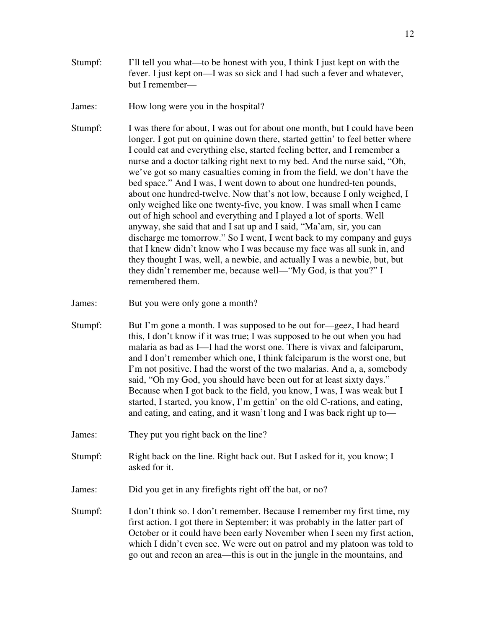Stumpf: I'll tell you what—to be honest with you, I think I just kept on with the fever. I just kept on—I was so sick and I had such a fever and whatever, but I remember—

James: How long were you in the hospital?

Stumpf: I was there for about, I was out for about one month, but I could have been longer. I got put on quinine down there, started gettin' to feel better where I could eat and everything else, started feeling better, and I remember a nurse and a doctor talking right next to my bed. And the nurse said, "Oh, we've got so many casualties coming in from the field, we don't have the bed space." And I was, I went down to about one hundred-ten pounds, about one hundred-twelve. Now that's not low, because I only weighed, I only weighed like one twenty-five, you know. I was small when I came out of high school and everything and I played a lot of sports. Well anyway, she said that and I sat up and I said, "Ma'am, sir, you can discharge me tomorrow." So I went, I went back to my company and guys that I knew didn't know who I was because my face was all sunk in, and they thought I was, well, a newbie, and actually I was a newbie, but, but they didn't remember me, because well—"My God, is that you?" I remembered them.

James: But you were only gone a month?

- Stumpf: But I'm gone a month. I was supposed to be out for—geez, I had heard this, I don't know if it was true; I was supposed to be out when you had malaria as bad as I—I had the worst one. There is vivax and falciparum, and I don't remember which one, I think falciparum is the worst one, but I'm not positive. I had the worst of the two malarias. And a, a, somebody said, "Oh my God, you should have been out for at least sixty days." Because when I got back to the field, you know, I was, I was weak but I started, I started, you know, I'm gettin' on the old C-rations, and eating, and eating, and eating, and it wasn't long and I was back right up to—
- James: They put you right back on the line?
- Stumpf: Right back on the line. Right back out. But I asked for it, you know; I asked for it.
- James: Did you get in any firefights right off the bat, or no?
- Stumpf: I don't think so. I don't remember. Because I remember my first time, my first action. I got there in September; it was probably in the latter part of October or it could have been early November when I seen my first action, which I didn't even see. We were out on patrol and my platoon was told to go out and recon an area—this is out in the jungle in the mountains, and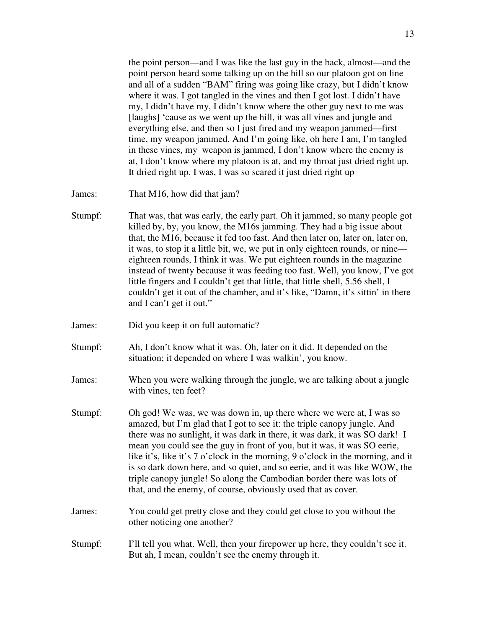the point person—and I was like the last guy in the back, almost—and the point person heard some talking up on the hill so our platoon got on line and all of a sudden "BAM" firing was going like crazy, but I didn't know where it was. I got tangled in the vines and then I got lost. I didn't have my, I didn't have my, I didn't know where the other guy next to me was [laughs] 'cause as we went up the hill, it was all vines and jungle and everything else, and then so I just fired and my weapon jammed—first time, my weapon jammed. And I'm going like, oh here I am, I'm tangled in these vines, my weapon is jammed, I don't know where the enemy is at, I don't know where my platoon is at, and my throat just dried right up. It dried right up. I was, I was so scared it just dried right up

- James: That M16, how did that jam?
- Stumpf: That was, that was early, the early part. Oh it jammed, so many people got killed by, by, you know, the M16s jamming. They had a big issue about that, the M16, because it fed too fast. And then later on, later on, later on, it was, to stop it a little bit, we, we put in only eighteen rounds, or nine eighteen rounds, I think it was. We put eighteen rounds in the magazine instead of twenty because it was feeding too fast. Well, you know, I've got little fingers and I couldn't get that little, that little shell, 5.56 shell, I couldn't get it out of the chamber, and it's like, "Damn, it's sittin' in there and I can't get it out."
- James: Did you keep it on full automatic?
- Stumpf: Ah, I don't know what it was. Oh, later on it did. It depended on the situation; it depended on where I was walkin', you know.
- James: When you were walking through the jungle, we are talking about a jungle with vines, ten feet?
- Stumpf: Oh god! We was, we was down in, up there where we were at, I was so amazed, but I'm glad that I got to see it: the triple canopy jungle. And there was no sunlight, it was dark in there, it was dark, it was SO dark! I mean you could see the guy in front of you, but it was, it was SO eerie, like it's, like it's 7 o'clock in the morning, 9 o'clock in the morning, and it is so dark down here, and so quiet, and so eerie, and it was like WOW, the triple canopy jungle! So along the Cambodian border there was lots of that, and the enemy, of course, obviously used that as cover.
- James: You could get pretty close and they could get close to you without the other noticing one another?
- Stumpf: I'll tell you what. Well, then your firepower up here, they couldn't see it. But ah, I mean, couldn't see the enemy through it.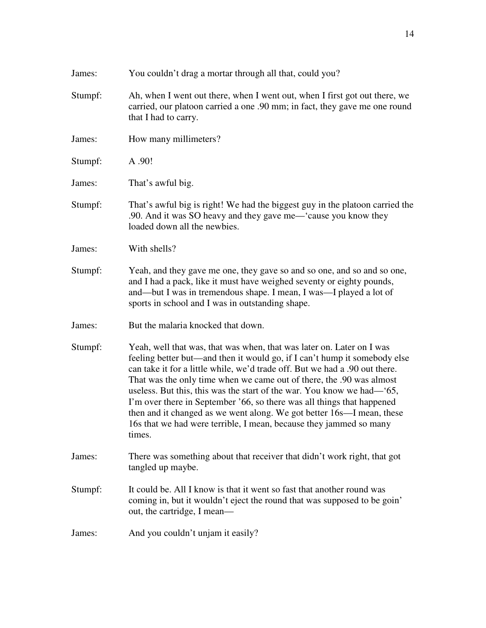| James:  | You couldn't drag a mortar through all that, could you?                                                                                                                                                                                                                                                                                                                                                                                                                                                                                                                                                                |
|---------|------------------------------------------------------------------------------------------------------------------------------------------------------------------------------------------------------------------------------------------------------------------------------------------------------------------------------------------------------------------------------------------------------------------------------------------------------------------------------------------------------------------------------------------------------------------------------------------------------------------------|
| Stumpf: | Ah, when I went out there, when I went out, when I first got out there, we<br>carried, our platoon carried a one .90 mm; in fact, they gave me one round<br>that I had to carry.                                                                                                                                                                                                                                                                                                                                                                                                                                       |
| James:  | How many millimeters?                                                                                                                                                                                                                                                                                                                                                                                                                                                                                                                                                                                                  |
| Stumpf: | A .90!                                                                                                                                                                                                                                                                                                                                                                                                                                                                                                                                                                                                                 |
| James:  | That's awful big.                                                                                                                                                                                                                                                                                                                                                                                                                                                                                                                                                                                                      |
| Stumpf: | That's awful big is right! We had the biggest guy in the platoon carried the<br>.90. And it was SO heavy and they gave me-'cause you know they<br>loaded down all the newbies.                                                                                                                                                                                                                                                                                                                                                                                                                                         |
| James:  | With shells?                                                                                                                                                                                                                                                                                                                                                                                                                                                                                                                                                                                                           |
| Stumpf: | Yeah, and they gave me one, they gave so and so one, and so and so one,<br>and I had a pack, like it must have weighed seventy or eighty pounds,<br>and—but I was in tremendous shape. I mean, I was—I played a lot of<br>sports in school and I was in outstanding shape.                                                                                                                                                                                                                                                                                                                                             |
| James:  | But the malaria knocked that down.                                                                                                                                                                                                                                                                                                                                                                                                                                                                                                                                                                                     |
| Stumpf: | Yeah, well that was, that was when, that was later on. Later on I was<br>feeling better but—and then it would go, if I can't hump it somebody else<br>can take it for a little while, we'd trade off. But we had a .90 out there.<br>That was the only time when we came out of there, the .90 was almost<br>useless. But this, this was the start of the war. You know we had—'65,<br>I'm over there in September '66, so there was all things that happened<br>then and it changed as we went along. We got better 16s—I mean, these<br>16s that we had were terrible, I mean, because they jammed so many<br>times. |
| James:  | There was something about that receiver that didn't work right, that got<br>tangled up maybe.                                                                                                                                                                                                                                                                                                                                                                                                                                                                                                                          |
| Stumpf: | It could be. All I know is that it went so fast that another round was<br>coming in, but it wouldn't eject the round that was supposed to be goin'<br>out, the cartridge, I mean—                                                                                                                                                                                                                                                                                                                                                                                                                                      |
| James:  | And you couldn't unjam it easily?                                                                                                                                                                                                                                                                                                                                                                                                                                                                                                                                                                                      |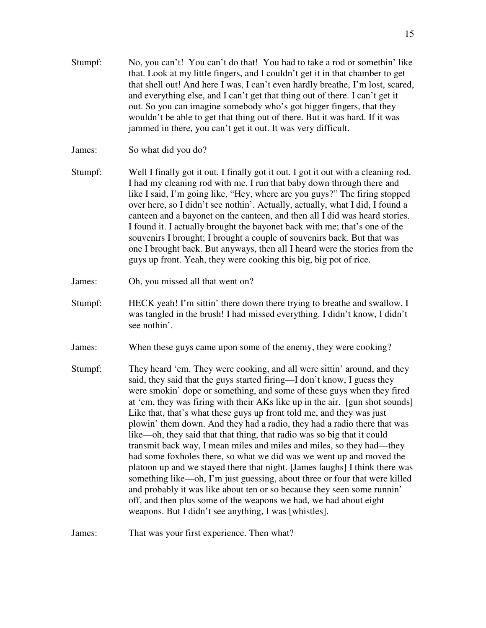Stumpf: No, you can't! You can't do that! You had to take a rod or somethin' like that. Look at my little fingers, and I couldn't get it in that chamber to get that shell out! And here I was, I can't even hardly breathe, I'm lost, scared, and everything else, and I can't get that thing out of there. I can't get it out. So you can imagine somebody who's got bigger fingers, that they wouldn't be able to get that thing out of there. But it was hard. If it was jammed in there, you can't get it out. It was very difficult.

James: So what did you do?

- Stumpf: Well I finally got it out. I finally got it out. I got it out with a cleaning rod. I had my cleaning rod with me. I run that baby down through there and like I said, I'm going like, "Hey, where are you guys?" The firing stopped over here, so I didn't see nothin'. Actually, actually, what I did, I found a canteen and a bayonet on the canteen, and then all I did was heard stories. I found it. I actually brought the bayonet back with me; that's one of the souvenirs I brought; I brought a couple of souvenirs back. But that was one I brought back. But anyways, then all I heard were the stories from the guys up front. Yeah, they were cooking this big, big pot of rice.
- James: Oh, you missed all that went on?
- Stumpf: HECK yeah! I'm sittin' there down there trying to breathe and swallow, I was tangled in the brush! I had missed everything. I didn't know, I didn't see nothin'.
- James: When these guys came upon some of the enemy, they were cooking?
- Stumpf: They heard 'em. They were cooking, and all were sittin' around, and they said, they said that the guys started firing—I don't know, I guess they were smokin' dope or something, and some of these guys when they fired at 'em, they was firing with their AKs like up in the air. [gun shot sounds] Like that, that's what these guys up front told me, and they was just plowin' them down. And they had a radio, they had a radio there that was like—oh, they said that that thing, that radio was so big that it could transmit back way, I mean miles and miles and miles, so they had—they had some foxholes there, so what we did was we went up and moved the platoon up and we stayed there that night. [James laughs] I think there was something like—oh, I'm just guessing, about three or four that were killed and probably it was like about ten or so because they seen some runnin' off, and then plus some of the weapons we had, we had about eight weapons. But I didn't see anything, I was [whistles].

James: That was your first experience. Then what?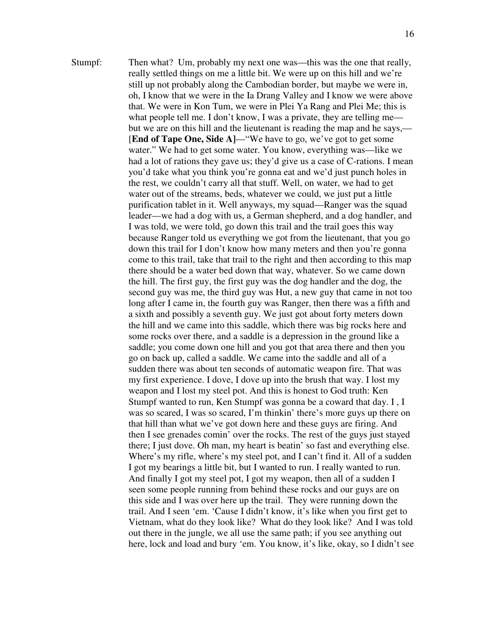Stumpf: Then what? Um, probably my next one was—this was the one that really, really settled things on me a little bit. We were up on this hill and we're still up not probably along the Cambodian border, but maybe we were in, oh, I know that we were in the Ia Drang Valley and I know we were above that. We were in Kon Tum, we were in Plei Ya Rang and Plei Me; this is what people tell me. I don't know, I was a private, they are telling me but we are on this hill and the lieutenant is reading the map and he says,— [**End of Tape One, Side A]**—"We have to go, we've got to get some water." We had to get some water. You know, everything was—like we had a lot of rations they gave us; they'd give us a case of C-rations. I mean you'd take what you think you're gonna eat and we'd just punch holes in the rest, we couldn't carry all that stuff. Well, on water, we had to get water out of the streams, beds, whatever we could, we just put a little purification tablet in it. Well anyways, my squad—Ranger was the squad leader—we had a dog with us, a German shepherd, and a dog handler, and I was told, we were told, go down this trail and the trail goes this way because Ranger told us everything we got from the lieutenant, that you go down this trail for I don't know how many meters and then you're gonna come to this trail, take that trail to the right and then according to this map there should be a water bed down that way, whatever. So we came down the hill. The first guy, the first guy was the dog handler and the dog, the second guy was me, the third guy was Hut, a new guy that came in not too long after I came in, the fourth guy was Ranger, then there was a fifth and a sixth and possibly a seventh guy. We just got about forty meters down the hill and we came into this saddle, which there was big rocks here and some rocks over there, and a saddle is a depression in the ground like a saddle; you come down one hill and you got that area there and then you go on back up, called a saddle. We came into the saddle and all of a sudden there was about ten seconds of automatic weapon fire. That was my first experience. I dove, I dove up into the brush that way. I lost my weapon and I lost my steel pot. And this is honest to God truth: Ken Stumpf wanted to run, Ken Stumpf was gonna be a coward that day. I , I was so scared, I was so scared, I'm thinkin' there's more guys up there on that hill than what we've got down here and these guys are firing. And then I see grenades comin' over the rocks. The rest of the guys just stayed there; I just dove. Oh man, my heart is beatin' so fast and everything else. Where's my rifle, where's my steel pot, and I can't find it. All of a sudden I got my bearings a little bit, but I wanted to run. I really wanted to run. And finally I got my steel pot, I got my weapon, then all of a sudden I seen some people running from behind these rocks and our guys are on this side and I was over here up the trail. They were running down the trail. And I seen 'em. 'Cause I didn't know, it's like when you first get to Vietnam, what do they look like? What do they look like? And I was told out there in the jungle, we all use the same path; if you see anything out here, lock and load and bury 'em. You know, it's like, okay, so I didn't see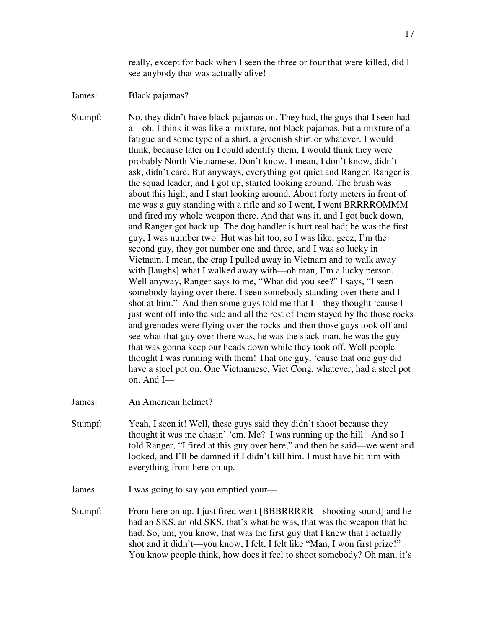really, except for back when I seen the three or four that were killed, did I see anybody that was actually alive!

James: Black pajamas?

Stumpf: No, they didn't have black pajamas on. They had, the guys that I seen had a—oh, I think it was like a mixture, not black pajamas, but a mixture of a fatigue and some type of a shirt, a greenish shirt or whatever. I would think, because later on I could identify them, I would think they were probably North Vietnamese. Don't know. I mean, I don't know, didn't ask, didn't care. But anyways, everything got quiet and Ranger, Ranger is the squad leader, and I got up, started looking around. The brush was about this high, and I start looking around. About forty meters in front of me was a guy standing with a rifle and so I went, I went BRRRROMMM and fired my whole weapon there. And that was it, and I got back down, and Ranger got back up. The dog handler is hurt real bad; he was the first guy, I was number two. Hut was hit too, so I was like, geez, I'm the second guy, they got number one and three, and I was so lucky in Vietnam. I mean, the crap I pulled away in Vietnam and to walk away with [laughs] what I walked away with—oh man, I'm a lucky person. Well anyway, Ranger says to me, "What did you see?" I says, "I seen somebody laying over there, I seen somebody standing over there and I shot at him." And then some guys told me that I—they thought 'cause I just went off into the side and all the rest of them stayed by the those rocks and grenades were flying over the rocks and then those guys took off and see what that guy over there was, he was the slack man, he was the guy that was gonna keep our heads down while they took off. Well people thought I was running with them! That one guy, 'cause that one guy did have a steel pot on. One Vietnamese, Viet Cong, whatever, had a steel pot on. And I—

- James: An American helmet?
- Stumpf: Yeah, I seen it! Well, these guys said they didn't shoot because they thought it was me chasin' 'em. Me? I was running up the hill! And so I told Ranger, "I fired at this guy over here," and then he said—we went and looked, and I'll be damned if I didn't kill him. I must have hit him with everything from here on up.

James I was going to say you emptied your—

Stumpf: From here on up. I just fired went [BBBRRRRR—shooting sound] and he had an SKS, an old SKS, that's what he was, that was the weapon that he had. So, um, you know, that was the first guy that I knew that I actually shot and it didn't—you know, I felt, I felt like "Man, I won first prize!" You know people think, how does it feel to shoot somebody? Oh man, it's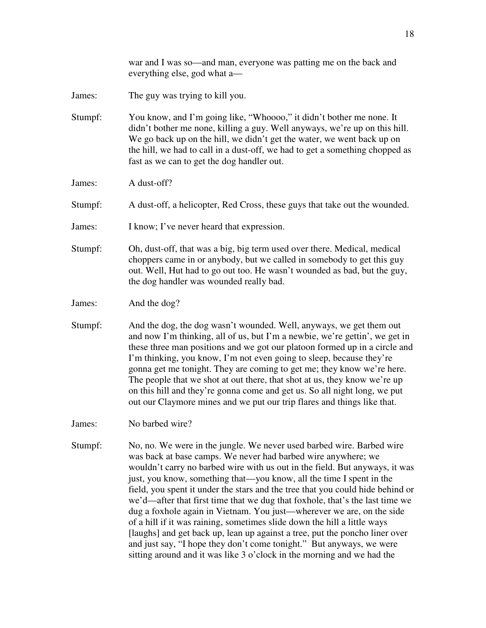war and I was so—and man, everyone was patting me on the back and everything else, god what a—

- James: The guy was trying to kill you.
- Stumpf: You know, and I'm going like, "Whoooo," it didn't bother me none. It didn't bother me none, killing a guy. Well anyways, we're up on this hill. We go back up on the hill, we didn't get the water, we went back up on the hill, we had to call in a dust-off, we had to get a something chopped as fast as we can to get the dog handler out.
- James: A dust-off?
- Stumpf: A dust-off, a helicopter, Red Cross, these guys that take out the wounded.
- James: I know; I've never heard that expression.
- Stumpf: Oh, dust-off, that was a big, big term used over there. Medical, medical choppers came in or anybody, but we called in somebody to get this guy out. Well, Hut had to go out too. He wasn't wounded as bad, but the guy, the dog handler was wounded really bad.
- James: And the dog?
- Stumpf: And the dog, the dog wasn't wounded. Well, anyways, we get them out and now I'm thinking, all of us, but I'm a newbie, we're gettin', we get in these three man positions and we got our platoon formed up in a circle and I'm thinking, you know, I'm not even going to sleep, because they're gonna get me tonight. They are coming to get me; they know we're here. The people that we shot at out there, that shot at us, they know we're up on this hill and they're gonna come and get us. So all night long, we put out our Claymore mines and we put our trip flares and things like that.
- James: No barbed wire?
- Stumpf: No, no. We were in the jungle. We never used barbed wire. Barbed wire was back at base camps. We never had barbed wire anywhere; we wouldn't carry no barbed wire with us out in the field. But anyways, it was just, you know, something that—you know, all the time I spent in the field, you spent it under the stars and the tree that you could hide behind or we'd—after that first time that we dug that foxhole, that's the last time we dug a foxhole again in Vietnam. You just—wherever we are, on the side of a hill if it was raining, sometimes slide down the hill a little ways [laughs] and get back up, lean up against a tree, put the poncho liner over and just say, "I hope they don't come tonight." But anyways, we were sitting around and it was like 3 o'clock in the morning and we had the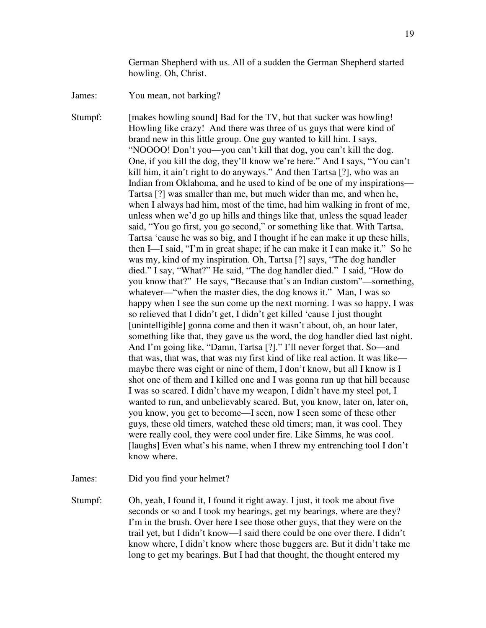German Shepherd with us. All of a sudden the German Shepherd started howling. Oh, Christ.

James: You mean, not barking?

Stumpf: [makes howling sound] Bad for the TV, but that sucker was howling! Howling like crazy! And there was three of us guys that were kind of brand new in this little group. One guy wanted to kill him. I says, "NOOOO! Don't you—you can't kill that dog, you can't kill the dog. One, if you kill the dog, they'll know we're here." And I says, "You can't kill him, it ain't right to do anyways." And then Tartsa [?], who was an Indian from Oklahoma, and he used to kind of be one of my inspirations— Tartsa [?] was smaller than me, but much wider than me, and when he, when I always had him, most of the time, had him walking in front of me, unless when we'd go up hills and things like that, unless the squad leader said, "You go first, you go second," or something like that. With Tartsa, Tartsa 'cause he was so big, and I thought if he can make it up these hills, then I—I said, "I'm in great shape; if he can make it I can make it." So he was my, kind of my inspiration. Oh, Tartsa [?] says, "The dog handler died." I say, "What?" He said, "The dog handler died." I said, "How do you know that?" He says, "Because that's an Indian custom"—something, whatever—"when the master dies, the dog knows it." Man, I was so happy when I see the sun come up the next morning. I was so happy, I was so relieved that I didn't get, I didn't get killed 'cause I just thought [unintelligible] gonna come and then it wasn't about, oh, an hour later, something like that, they gave us the word, the dog handler died last night. And I'm going like, "Damn, Tartsa [?]." I'll never forget that. So—and that was, that was, that was my first kind of like real action. It was like maybe there was eight or nine of them, I don't know, but all I know is I shot one of them and I killed one and I was gonna run up that hill because I was so scared. I didn't have my weapon, I didn't have my steel pot, I wanted to run, and unbelievably scared. But, you know, later on, later on, you know, you get to become—I seen, now I seen some of these other guys, these old timers, watched these old timers; man, it was cool. They were really cool, they were cool under fire. Like Simms, he was cool. [laughs] Even what's his name, when I threw my entrenching tool I don't know where.

James: Did you find your helmet?

Stumpf: Oh, yeah, I found it, I found it right away. I just, it took me about five seconds or so and I took my bearings, get my bearings, where are they? I'm in the brush. Over here I see those other guys, that they were on the trail yet, but I didn't know—I said there could be one over there. I didn't know where, I didn't know where those buggers are. But it didn't take me long to get my bearings. But I had that thought, the thought entered my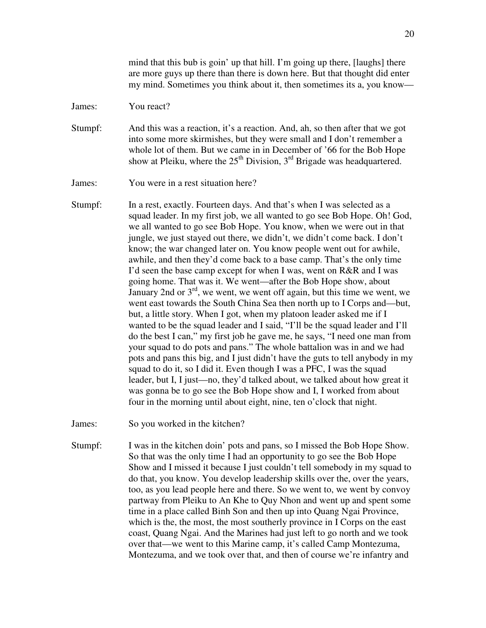mind that this bub is goin' up that hill. I'm going up there, [laughs] there are more guys up there than there is down here. But that thought did enter my mind. Sometimes you think about it, then sometimes its a, you know—

James: You react?

Stumpf: And this was a reaction, it's a reaction. And, ah, so then after that we got into some more skirmishes, but they were small and I don't remember a whole lot of them. But we came in in December of '66 for the Bob Hope show at Pleiku, where the  $25<sup>th</sup>$  Division, 3<sup>rd</sup> Brigade was headquartered.

James: You were in a rest situation here?

Stumpf: In a rest, exactly. Fourteen days. And that's when I was selected as a squad leader. In my first job, we all wanted to go see Bob Hope. Oh! God, we all wanted to go see Bob Hope. You know, when we were out in that jungle, we just stayed out there, we didn't, we didn't come back. I don't know; the war changed later on. You know people went out for awhile, awhile, and then they'd come back to a base camp. That's the only time I'd seen the base camp except for when I was, went on R&R and I was going home. That was it. We went—after the Bob Hope show, about January 2nd or 3rd, we went, we went off again, but this time we went, we went east towards the South China Sea then north up to I Corps and—but, but, a little story. When I got, when my platoon leader asked me if I wanted to be the squad leader and I said, "I'll be the squad leader and I'll do the best I can," my first job he gave me, he says, "I need one man from your squad to do pots and pans." The whole battalion was in and we had pots and pans this big, and I just didn't have the guts to tell anybody in my squad to do it, so I did it. Even though I was a PFC, I was the squad leader, but I, I just—no, they'd talked about, we talked about how great it was gonna be to go see the Bob Hope show and I, I worked from about four in the morning until about eight, nine, ten o'clock that night.

James: So you worked in the kitchen?

Stumpf: I was in the kitchen doin' pots and pans, so I missed the Bob Hope Show. So that was the only time I had an opportunity to go see the Bob Hope Show and I missed it because I just couldn't tell somebody in my squad to do that, you know. You develop leadership skills over the, over the years, too, as you lead people here and there. So we went to, we went by convoy partway from Pleiku to An Khe to Quy Nhon and went up and spent some time in a place called Binh Son and then up into Quang Ngai Province, which is the, the most, the most southerly province in I Corps on the east coast, Quang Ngai. And the Marines had just left to go north and we took over that—we went to this Marine camp, it's called Camp Montezuma, Montezuma, and we took over that, and then of course we're infantry and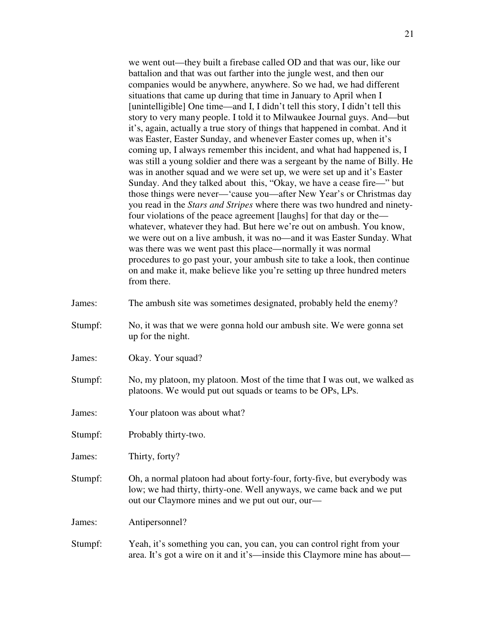we went out—they built a firebase called OD and that was our, like our battalion and that was out farther into the jungle west, and then our companies would be anywhere, anywhere. So we had, we had different situations that came up during that time in January to April when I [unintelligible] One time—and I, I didn't tell this story, I didn't tell this story to very many people. I told it to Milwaukee Journal guys. And—but it's, again, actually a true story of things that happened in combat. And it was Easter, Easter Sunday, and whenever Easter comes up, when it's coming up, I always remember this incident, and what had happened is, I was still a young soldier and there was a sergeant by the name of Billy. He was in another squad and we were set up, we were set up and it's Easter Sunday. And they talked about this, "Okay, we have a cease fire—" but those things were never—'cause you—after New Year's or Christmas day you read in the *Stars and Stripes* where there was two hundred and ninetyfour violations of the peace agreement [laughs] for that day or the whatever, whatever they had. But here we're out on ambush. You know, we were out on a live ambush, it was no—and it was Easter Sunday. What was there was we went past this place—normally it was normal procedures to go past your, your ambush site to take a look, then continue on and make it, make believe like you're setting up three hundred meters from there.

- James: The ambush site was sometimes designated, probably held the enemy?
- Stumpf: No, it was that we were gonna hold our ambush site. We were gonna set up for the night.
- James: Okay. Your squad?
- Stumpf: No, my platoon, my platoon. Most of the time that I was out, we walked as platoons. We would put out squads or teams to be OPs, LPs.
- James: Your platoon was about what?
- Stumpf: Probably thirty-two.
- James: Thirty, forty?
- Stumpf: Oh, a normal platoon had about forty-four, forty-five, but everybody was low; we had thirty, thirty-one. Well anyways, we came back and we put out our Claymore mines and we put out our, our—

James: Antipersonnel?

Stumpf: Yeah, it's something you can, you can, you can control right from your area. It's got a wire on it and it's—inside this Claymore mine has about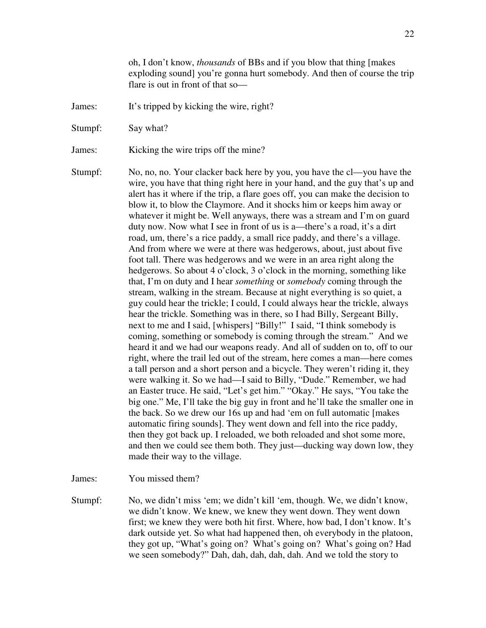oh, I don't know, *thousands* of BBs and if you blow that thing [makes exploding sound] you're gonna hurt somebody. And then of course the trip flare is out in front of that so—

- James: It's tripped by kicking the wire, right?
- Stumpf: Say what?

James: Kicking the wire trips off the mine?

Stumpf: No, no, no. Your clacker back here by you, you have the cl—you have the wire, you have that thing right here in your hand, and the guy that's up and alert has it where if the trip, a flare goes off, you can make the decision to blow it, to blow the Claymore. And it shocks him or keeps him away or whatever it might be. Well anyways, there was a stream and I'm on guard duty now. Now what I see in front of us is a—there's a road, it's a dirt road, um, there's a rice paddy, a small rice paddy, and there's a village. And from where we were at there was hedgerows, about, just about five foot tall. There was hedgerows and we were in an area right along the hedgerows. So about 4 o'clock, 3 o'clock in the morning, something like that, I'm on duty and I hear *something* or *somebody* coming through the stream, walking in the stream. Because at night everything is so quiet, a guy could hear the trickle; I could, I could always hear the trickle, always hear the trickle. Something was in there, so I had Billy, Sergeant Billy, next to me and I said, [whispers] "Billy!" I said, "I think somebody is coming, something or somebody is coming through the stream." And we heard it and we had our weapons ready. And all of sudden on to, off to our right, where the trail led out of the stream, here comes a man—here comes a tall person and a short person and a bicycle. They weren't riding it, they were walking it. So we had—I said to Billy, "Dude." Remember, we had an Easter truce. He said, "Let's get him." "Okay." He says, "You take the big one." Me, I'll take the big guy in front and he'll take the smaller one in the back. So we drew our 16s up and had 'em on full automatic [makes automatic firing sounds]. They went down and fell into the rice paddy, then they got back up. I reloaded, we both reloaded and shot some more, and then we could see them both. They just—ducking way down low, they made their way to the village.

James: You missed them?

Stumpf: No, we didn't miss 'em; we didn't kill 'em, though. We, we didn't know, we didn't know. We knew, we knew they went down. They went down first; we knew they were both hit first. Where, how bad, I don't know. It's dark outside yet. So what had happened then, oh everybody in the platoon, they got up, "What's going on? What's going on? What's going on? Had we seen somebody?" Dah, dah, dah, dah, dah. And we told the story to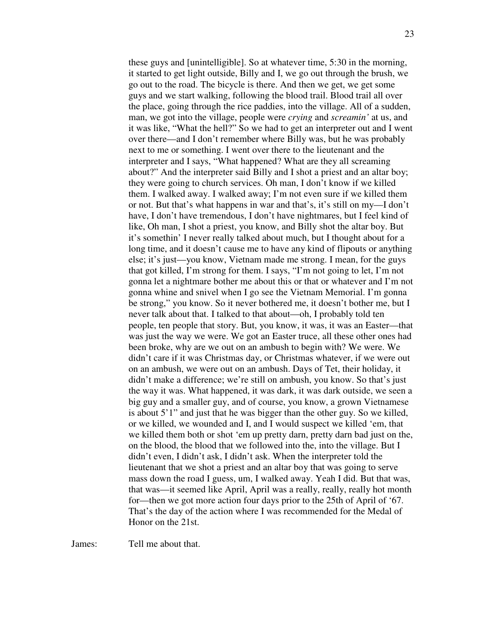these guys and [unintelligible]. So at whatever time, 5:30 in the morning, it started to get light outside, Billy and I, we go out through the brush, we go out to the road. The bicycle is there. And then we get, we get some guys and we start walking, following the blood trail. Blood trail all over the place, going through the rice paddies, into the village. All of a sudden, man, we got into the village, people were *crying* and *screamin'* at us, and it was like, "What the hell?" So we had to get an interpreter out and I went over there—and I don't remember where Billy was, but he was probably next to me or something. I went over there to the lieutenant and the interpreter and I says, "What happened? What are they all screaming about?" And the interpreter said Billy and I shot a priest and an altar boy; they were going to church services. Oh man, I don't know if we killed them. I walked away. I walked away; I'm not even sure if we killed them or not. But that's what happens in war and that's, it's still on my—I don't have, I don't have tremendous, I don't have nightmares, but I feel kind of like, Oh man, I shot a priest, you know, and Billy shot the altar boy. But it's somethin' I never really talked about much, but I thought about for a long time, and it doesn't cause me to have any kind of flipouts or anything else; it's just—you know, Vietnam made me strong. I mean, for the guys that got killed, I'm strong for them. I says, "I'm not going to let, I'm not gonna let a nightmare bother me about this or that or whatever and I'm not gonna whine and snivel when I go see the Vietnam Memorial. I'm gonna be strong," you know. So it never bothered me, it doesn't bother me, but I never talk about that. I talked to that about—oh, I probably told ten people, ten people that story. But, you know, it was, it was an Easter—that was just the way we were. We got an Easter truce, all these other ones had been broke, why are we out on an ambush to begin with? We were. We didn't care if it was Christmas day, or Christmas whatever, if we were out on an ambush, we were out on an ambush. Days of Tet, their holiday, it didn't make a difference; we're still on ambush, you know. So that's just the way it was. What happened, it was dark, it was dark outside, we seen a big guy and a smaller guy, and of course, you know, a grown Vietnamese is about 5'1" and just that he was bigger than the other guy. So we killed, or we killed, we wounded and I, and I would suspect we killed 'em, that we killed them both or shot 'em up pretty darn, pretty darn bad just on the, on the blood, the blood that we followed into the, into the village. But I didn't even, I didn't ask, I didn't ask. When the interpreter told the lieutenant that we shot a priest and an altar boy that was going to serve mass down the road I guess, um, I walked away. Yeah I did. But that was, that was—it seemed like April, April was a really, really, really hot month for—then we got more action four days prior to the 25th of April of '67. That's the day of the action where I was recommended for the Medal of Honor on the 21st.

James: Tell me about that.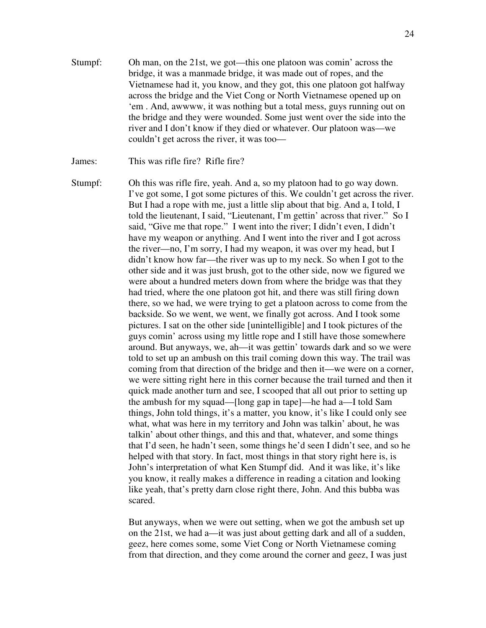Stumpf: Oh man, on the 21st, we got—this one platoon was comin' across the bridge, it was a manmade bridge, it was made out of ropes, and the Vietnamese had it, you know, and they got, this one platoon got halfway across the bridge and the Viet Cong or North Vietnamese opened up on 'em . And, awwww, it was nothing but a total mess, guys running out on the bridge and they were wounded. Some just went over the side into the river and I don't know if they died or whatever. Our platoon was—we couldn't get across the river, it was too—

James: This was rifle fire? Rifle fire?

Stumpf: Oh this was rifle fire, yeah. And a, so my platoon had to go way down. I've got some, I got some pictures of this. We couldn't get across the river. But I had a rope with me, just a little slip about that big. And a, I told, I told the lieutenant, I said, "Lieutenant, I'm gettin' across that river." So I said, "Give me that rope." I went into the river; I didn't even, I didn't have my weapon or anything. And I went into the river and I got across the river—no, I'm sorry, I had my weapon, it was over my head, but I didn't know how far—the river was up to my neck. So when I got to the other side and it was just brush, got to the other side, now we figured we were about a hundred meters down from where the bridge was that they had tried, where the one platoon got hit, and there was still firing down there, so we had, we were trying to get a platoon across to come from the backside. So we went, we went, we finally got across. And I took some pictures. I sat on the other side [unintelligible] and I took pictures of the guys comin' across using my little rope and I still have those somewhere around. But anyways, we, ah—it was gettin' towards dark and so we were told to set up an ambush on this trail coming down this way. The trail was coming from that direction of the bridge and then it—we were on a corner, we were sitting right here in this corner because the trail turned and then it quick made another turn and see, I scooped that all out prior to setting up the ambush for my squad—[long gap in tape]—he had a—I told Sam things, John told things, it's a matter, you know, it's like I could only see what, what was here in my territory and John was talkin' about, he was talkin' about other things, and this and that, whatever, and some things that I'd seen, he hadn't seen, some things he'd seen I didn't see, and so he helped with that story. In fact, most things in that story right here is, is John's interpretation of what Ken Stumpf did. And it was like, it's like you know, it really makes a difference in reading a citation and looking like yeah, that's pretty darn close right there, John. And this bubba was scared.

> But anyways, when we were out setting, when we got the ambush set up on the 21st, we had a—it was just about getting dark and all of a sudden, geez, here comes some, some Viet Cong or North Vietnamese coming from that direction, and they come around the corner and geez, I was just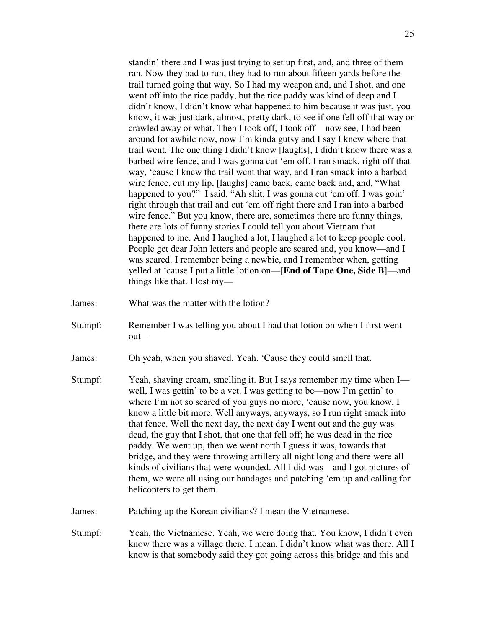standin' there and I was just trying to set up first, and, and three of them ran. Now they had to run, they had to run about fifteen yards before the trail turned going that way. So I had my weapon and, and I shot, and one went off into the rice paddy, but the rice paddy was kind of deep and I didn't know, I didn't know what happened to him because it was just, you know, it was just dark, almost, pretty dark, to see if one fell off that way or crawled away or what. Then I took off, I took off—now see, I had been around for awhile now, now I'm kinda gutsy and I say I knew where that trail went. The one thing I didn't know [laughs], I didn't know there was a barbed wire fence, and I was gonna cut 'em off. I ran smack, right off that way, 'cause I knew the trail went that way, and I ran smack into a barbed wire fence, cut my lip, [laughs] came back, came back and, and, "What happened to you?" I said, "Ah shit, I was gonna cut 'em off. I was goin' right through that trail and cut 'em off right there and I ran into a barbed wire fence." But you know, there are, sometimes there are funny things, there are lots of funny stories I could tell you about Vietnam that happened to me. And I laughed a lot, I laughed a lot to keep people cool. People get dear John letters and people are scared and, you know—and I was scared. I remember being a newbie, and I remember when, getting yelled at 'cause I put a little lotion on—[**End of Tape One, Side B**]—and things like that. I lost my—

- James: What was the matter with the lotion?
- Stumpf: Remember I was telling you about I had that lotion on when I first went out—
- James: Oh yeah, when you shaved. Yeah. 'Cause they could smell that.
- Stumpf: Yeah, shaving cream, smelling it. But I says remember my time when I well, I was gettin' to be a vet. I was getting to be—now I'm gettin' to where I'm not so scared of you guys no more, 'cause now, you know, I know a little bit more. Well anyways, anyways, so I run right smack into that fence. Well the next day, the next day I went out and the guy was dead, the guy that I shot, that one that fell off; he was dead in the rice paddy. We went up, then we went north I guess it was, towards that bridge, and they were throwing artillery all night long and there were all kinds of civilians that were wounded. All I did was—and I got pictures of them, we were all using our bandages and patching 'em up and calling for helicopters to get them.
- James: Patching up the Korean civilians? I mean the Vietnamese.
- Stumpf: Yeah, the Vietnamese. Yeah, we were doing that. You know, I didn't even know there was a village there. I mean, I didn't know what was there. All I know is that somebody said they got going across this bridge and this and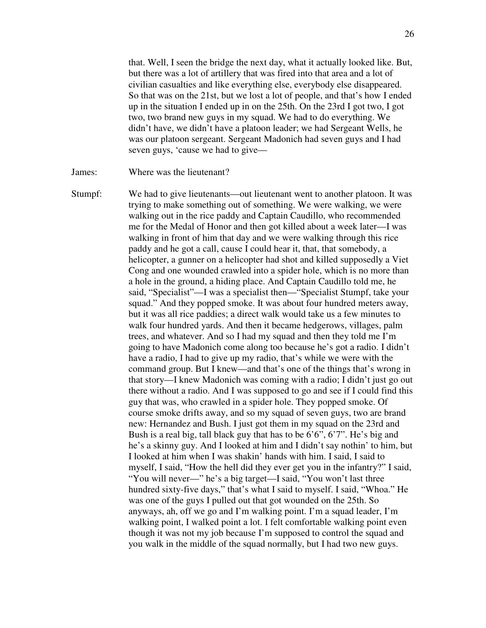that. Well, I seen the bridge the next day, what it actually looked like. But, but there was a lot of artillery that was fired into that area and a lot of civilian casualties and like everything else, everybody else disappeared. So that was on the 21st, but we lost a lot of people, and that's how I ended up in the situation I ended up in on the 25th. On the 23rd I got two, I got two, two brand new guys in my squad. We had to do everything. We didn't have, we didn't have a platoon leader; we had Sergeant Wells, he was our platoon sergeant. Sergeant Madonich had seven guys and I had seven guys, 'cause we had to give—

James: Where was the lieutenant?

Stumpf: We had to give lieutenants—out lieutenant went to another platoon. It was trying to make something out of something. We were walking, we were walking out in the rice paddy and Captain Caudillo, who recommended me for the Medal of Honor and then got killed about a week later—I was walking in front of him that day and we were walking through this rice paddy and he got a call, cause I could hear it, that, that somebody, a helicopter, a gunner on a helicopter had shot and killed supposedly a Viet Cong and one wounded crawled into a spider hole, which is no more than a hole in the ground, a hiding place. And Captain Caudillo told me, he said, "Specialist"—I was a specialist then—"Specialist Stumpf, take your squad." And they popped smoke. It was about four hundred meters away, but it was all rice paddies; a direct walk would take us a few minutes to walk four hundred yards. And then it became hedgerows, villages, palm trees, and whatever. And so I had my squad and then they told me I'm going to have Madonich come along too because he's got a radio. I didn't have a radio, I had to give up my radio, that's while we were with the command group. But I knew—and that's one of the things that's wrong in that story—I knew Madonich was coming with a radio; I didn't just go out there without a radio. And I was supposed to go and see if I could find this guy that was, who crawled in a spider hole. They popped smoke. Of course smoke drifts away, and so my squad of seven guys, two are brand new: Hernandez and Bush. I just got them in my squad on the 23rd and Bush is a real big, tall black guy that has to be 6'6", 6'7". He's big and he's a skinny guy. And I looked at him and I didn't say nothin' to him, but I looked at him when I was shakin' hands with him. I said, I said to myself, I said, "How the hell did they ever get you in the infantry?" I said, "You will never—" he's a big target—I said, "You won't last three hundred sixty-five days," that's what I said to myself. I said, "Whoa." He was one of the guys I pulled out that got wounded on the 25th. So anyways, ah, off we go and I'm walking point. I'm a squad leader, I'm walking point, I walked point a lot. I felt comfortable walking point even though it was not my job because I'm supposed to control the squad and you walk in the middle of the squad normally, but I had two new guys.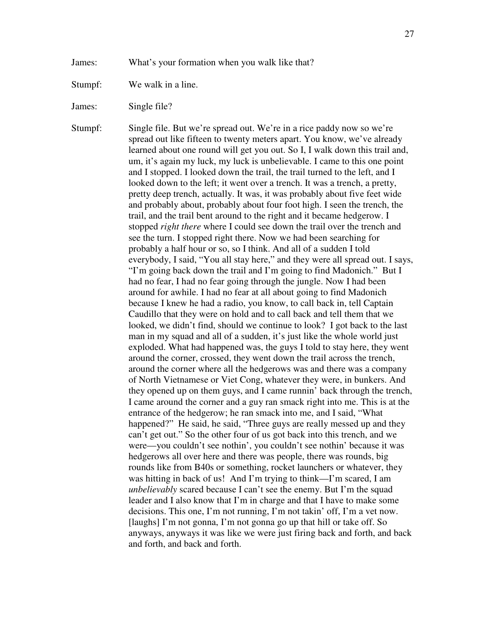James: What's your formation when you walk like that?

Stumpf: We walk in a line.

James: Single file?

Stumpf: Single file. But we're spread out. We're in a rice paddy now so we're spread out like fifteen to twenty meters apart. You know, we've already learned about one round will get you out. So I, I walk down this trail and, um, it's again my luck, my luck is unbelievable. I came to this one point and I stopped. I looked down the trail, the trail turned to the left, and I looked down to the left; it went over a trench. It was a trench, a pretty, pretty deep trench, actually. It was, it was probably about five feet wide and probably about, probably about four foot high. I seen the trench, the trail, and the trail bent around to the right and it became hedgerow. I stopped *right there* where I could see down the trail over the trench and see the turn. I stopped right there. Now we had been searching for probably a half hour or so, so I think. And all of a sudden I told everybody, I said, "You all stay here," and they were all spread out. I says, "I'm going back down the trail and I'm going to find Madonich." But I had no fear, I had no fear going through the jungle. Now I had been around for awhile. I had no fear at all about going to find Madonich because I knew he had a radio, you know, to call back in, tell Captain Caudillo that they were on hold and to call back and tell them that we looked, we didn't find, should we continue to look? I got back to the last man in my squad and all of a sudden, it's just like the whole world just exploded. What had happened was, the guys I told to stay here, they went around the corner, crossed, they went down the trail across the trench, around the corner where all the hedgerows was and there was a company of North Vietnamese or Viet Cong, whatever they were, in bunkers. And they opened up on them guys, and I came runnin' back through the trench, I came around the corner and a guy ran smack right into me. This is at the entrance of the hedgerow; he ran smack into me, and I said, "What happened?" He said, he said, "Three guys are really messed up and they can't get out." So the other four of us got back into this trench, and we were—you couldn't see nothin', you couldn't see nothin' because it was hedgerows all over here and there was people, there was rounds, big rounds like from B40s or something, rocket launchers or whatever, they was hitting in back of us! And I'm trying to think—I'm scared, I am *unbelievably* scared because I can't see the enemy. But I'm the squad leader and I also know that I'm in charge and that I have to make some decisions. This one, I'm not running, I'm not takin' off, I'm a vet now. [laughs] I'm not gonna, I'm not gonna go up that hill or take off. So anyways, anyways it was like we were just firing back and forth, and back and forth, and back and forth.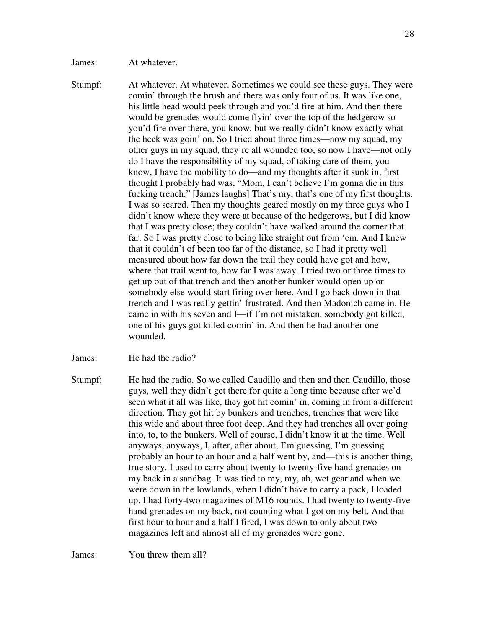James: At whatever.

Stumpf: At whatever. At whatever. Sometimes we could see these guys. They were comin' through the brush and there was only four of us. It was like one, his little head would peek through and you'd fire at him. And then there would be grenades would come flyin' over the top of the hedgerow so you'd fire over there, you know, but we really didn't know exactly what the heck was goin' on. So I tried about three times—now my squad, my other guys in my squad, they're all wounded too, so now I have—not only do I have the responsibility of my squad, of taking care of them, you know, I have the mobility to do—and my thoughts after it sunk in, first thought I probably had was, "Mom, I can't believe I'm gonna die in this fucking trench." [James laughs] That's my, that's one of my first thoughts. I was so scared. Then my thoughts geared mostly on my three guys who I didn't know where they were at because of the hedgerows, but I did know that I was pretty close; they couldn't have walked around the corner that far. So I was pretty close to being like straight out from 'em. And I knew that it couldn't of been too far of the distance, so I had it pretty well measured about how far down the trail they could have got and how, where that trail went to, how far I was away. I tried two or three times to get up out of that trench and then another bunker would open up or somebody else would start firing over here. And I go back down in that trench and I was really gettin' frustrated. And then Madonich came in. He came in with his seven and I—if I'm not mistaken, somebody got killed, one of his guys got killed comin' in. And then he had another one wounded.

James: He had the radio?

Stumpf: He had the radio. So we called Caudillo and then and then Caudillo, those guys, well they didn't get there for quite a long time because after we'd seen what it all was like, they got hit comin' in, coming in from a different direction. They got hit by bunkers and trenches, trenches that were like this wide and about three foot deep. And they had trenches all over going into, to, to the bunkers. Well of course, I didn't know it at the time. Well anyways, anyways, I, after, after about, I'm guessing, I'm guessing probably an hour to an hour and a half went by, and—this is another thing, true story. I used to carry about twenty to twenty-five hand grenades on my back in a sandbag. It was tied to my, my, ah, wet gear and when we were down in the lowlands, when I didn't have to carry a pack, I loaded up. I had forty-two magazines of M16 rounds. I had twenty to twenty-five hand grenades on my back, not counting what I got on my belt. And that first hour to hour and a half I fired, I was down to only about two magazines left and almost all of my grenades were gone.

James: You threw them all?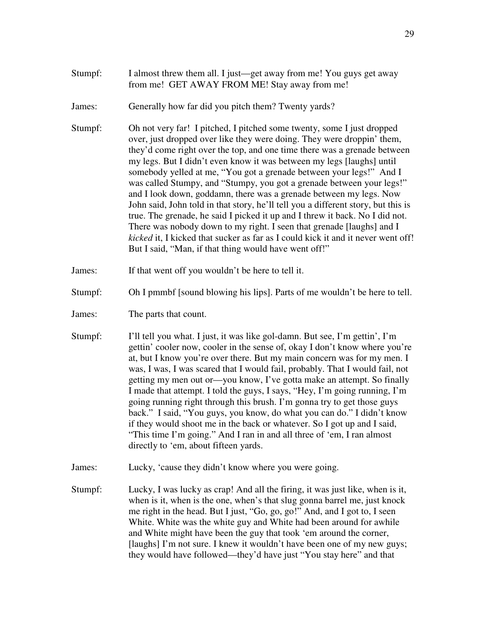James: Generally how far did you pitch them? Twenty yards?

Stumpf: Oh not very far! I pitched, I pitched some twenty, some I just dropped over, just dropped over like they were doing. They were droppin' them, they'd come right over the top, and one time there was a grenade between my legs. But I didn't even know it was between my legs [laughs] until somebody yelled at me, "You got a grenade between your legs!" And I was called Stumpy, and "Stumpy, you got a grenade between your legs!" and I look down, goddamn, there was a grenade between my legs. Now John said, John told in that story, he'll tell you a different story, but this is true. The grenade, he said I picked it up and I threw it back. No I did not. There was nobody down to my right. I seen that grenade [laughs] and I *kicked* it, I kicked that sucker as far as I could kick it and it never went off! But I said, "Man, if that thing would have went off!"

James: If that went off you wouldn't be here to tell it.

- Stumpf: Oh I pmmbf [sound blowing his lips]. Parts of me wouldn't be here to tell.
- James: The parts that count.
- Stumpf: I'll tell you what. I just, it was like gol-damn. But see, I'm gettin', I'm gettin' cooler now, cooler in the sense of, okay I don't know where you're at, but I know you're over there. But my main concern was for my men. I was, I was, I was scared that I would fail, probably. That I would fail, not getting my men out or—you know, I've gotta make an attempt. So finally I made that attempt. I told the guys, I says, "Hey, I'm going running, I'm going running right through this brush. I'm gonna try to get those guys back." I said, "You guys, you know, do what you can do." I didn't know if they would shoot me in the back or whatever. So I got up and I said, "This time I'm going." And I ran in and all three of 'em, I ran almost directly to 'em, about fifteen yards.
- James: Lucky, 'cause they didn't know where you were going.
- Stumpf: Lucky, I was lucky as crap! And all the firing, it was just like, when is it, when is it, when is the one, when's that slug gonna barrel me, just knock me right in the head. But I just, "Go, go, go!" And, and I got to, I seen White. White was the white guy and White had been around for awhile and White might have been the guy that took 'em around the corner, [laughs] I'm not sure. I knew it wouldn't have been one of my new guys; they would have followed—they'd have just "You stay here" and that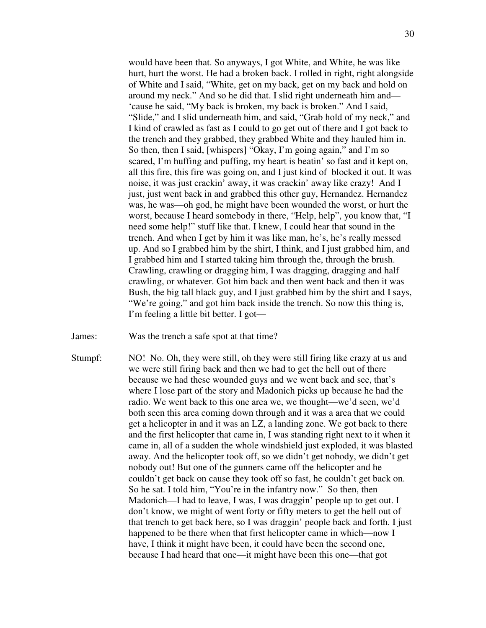would have been that. So anyways, I got White, and White, he was like hurt, hurt the worst. He had a broken back. I rolled in right, right alongside of White and I said, "White, get on my back, get on my back and hold on around my neck." And so he did that. I slid right underneath him and— 'cause he said, "My back is broken, my back is broken." And I said, "Slide," and I slid underneath him, and said, "Grab hold of my neck," and I kind of crawled as fast as I could to go get out of there and I got back to the trench and they grabbed, they grabbed White and they hauled him in. So then, then I said, [whispers] "Okay, I'm going again," and I'm so scared, I'm huffing and puffing, my heart is beatin' so fast and it kept on, all this fire, this fire was going on, and I just kind of blocked it out. It was noise, it was just crackin' away, it was crackin' away like crazy! And I just, just went back in and grabbed this other guy, Hernandez. Hernandez was, he was—oh god, he might have been wounded the worst, or hurt the worst, because I heard somebody in there, "Help, help", you know that, "I need some help!" stuff like that. I knew, I could hear that sound in the trench. And when I get by him it was like man, he's, he's really messed up. And so I grabbed him by the shirt, I think, and I just grabbed him, and I grabbed him and I started taking him through the, through the brush. Crawling, crawling or dragging him, I was dragging, dragging and half crawling, or whatever. Got him back and then went back and then it was Bush, the big tall black guy, and I just grabbed him by the shirt and I says, "We're going," and got him back inside the trench. So now this thing is, I'm feeling a little bit better. I got—

- James: Was the trench a safe spot at that time?
- Stumpf: NO! No. Oh, they were still, oh they were still firing like crazy at us and we were still firing back and then we had to get the hell out of there because we had these wounded guys and we went back and see, that's where I lose part of the story and Madonich picks up because he had the radio. We went back to this one area we, we thought—we'd seen, we'd both seen this area coming down through and it was a area that we could get a helicopter in and it was an LZ, a landing zone. We got back to there and the first helicopter that came in, I was standing right next to it when it came in, all of a sudden the whole windshield just exploded, it was blasted away. And the helicopter took off, so we didn't get nobody, we didn't get nobody out! But one of the gunners came off the helicopter and he couldn't get back on cause they took off so fast, he couldn't get back on. So he sat. I told him, "You're in the infantry now." So then, then Madonich—I had to leave, I was, I was draggin' people up to get out. I don't know, we might of went forty or fifty meters to get the hell out of that trench to get back here, so I was draggin' people back and forth. I just happened to be there when that first helicopter came in which—now I have, I think it might have been, it could have been the second one, because I had heard that one—it might have been this one—that got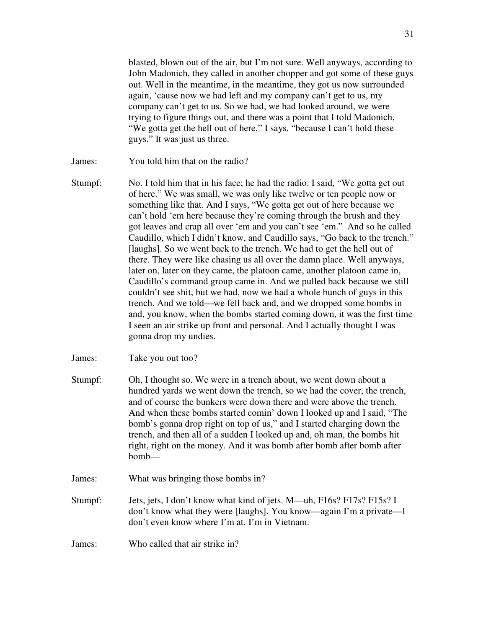blasted, blown out of the air, but I'm not sure. Well anyways, according to John Madonich, they called in another chopper and got some of these guys out. Well in the meantime, in the meantime, they got us now surrounded again, 'cause now we had left and my company can't get to us, my company can't get to us. So we had, we had looked around, we were trying to figure things out, and there was a point that I told Madonich, "We gotta get the hell out of here," I says, "because I can't hold these guys." It was just us three.

- James: You told him that on the radio?
- Stumpf: No. I told him that in his face; he had the radio. I said, "We gotta get out of here." We was small, we was only like twelve or ten people now or something like that. And I says, "We gotta get out of here because we can't hold 'em here because they're coming through the brush and they got leaves and crap all over 'em and you can't see 'em." And so he called Caudillo, which I didn't know, and Caudillo says, "Go back to the trench." [laughs]. So we went back to the trench. We had to get the hell out of there. They were like chasing us all over the damn place. Well anyways, later on, later on they came, the platoon came, another platoon came in, Caudillo's command group came in. And we pulled back because we still couldn't see shit, but we had, now we had a whole bunch of guys in this trench. And we told—we fell back and, and we dropped some bombs in and, you know, when the bombs started coming down, it was the first time I seen an air strike up front and personal. And I actually thought I was gonna drop my undies.
- James: Take you out too?
- Stumpf: Oh, I thought so. We were in a trench about, we went down about a hundred yards we went down the trench, so we had the cover, the trench, and of course the bunkers were down there and were above the trench. And when these bombs started comin' down I looked up and I said, "The bomb's gonna drop right on top of us," and I started charging down the trench, and then all of a sudden I looked up and, oh man, the bombs hit right, right on the money. And it was bomb after bomb after bomb after bomb—
- James: What was bringing those bombs in?
- Stumpf: Jets, jets, I don't know what kind of jets. M—uh, F16s? F17s? F15s? I don't know what they were [laughs]. You know—again I'm a private—I don't even know where I'm at. I'm in Vietnam.
- James: Who called that air strike in?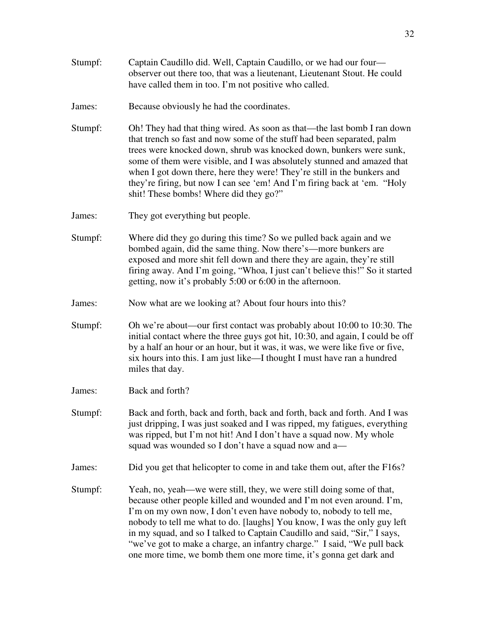James: Because obviously he had the coordinates.

- Stumpf: Oh! They had that thing wired. As soon as that—the last bomb I ran down that trench so fast and now some of the stuff had been separated, palm trees were knocked down, shrub was knocked down, bunkers were sunk, some of them were visible, and I was absolutely stunned and amazed that when I got down there, here they were! They're still in the bunkers and they're firing, but now I can see 'em! And I'm firing back at 'em. "Holy shit! These bombs! Where did they go?"
- James: They got everything but people.
- Stumpf: Where did they go during this time? So we pulled back again and we bombed again, did the same thing. Now there's—more bunkers are exposed and more shit fell down and there they are again, they're still firing away. And I'm going, "Whoa, I just can't believe this!" So it started getting, now it's probably 5:00 or 6:00 in the afternoon.
- James: Now what are we looking at? About four hours into this?
- Stumpf: Oh we're about—our first contact was probably about 10:00 to 10:30. The initial contact where the three guys got hit, 10:30, and again, I could be off by a half an hour or an hour, but it was, it was, we were like five or five, six hours into this. I am just like—I thought I must have ran a hundred miles that day.
- James: Back and forth?
- Stumpf: Back and forth, back and forth, back and forth, back and forth. And I was just dripping, I was just soaked and I was ripped, my fatigues, everything was ripped, but I'm not hit! And I don't have a squad now. My whole squad was wounded so I don't have a squad now and a—
- James: Did you get that helicopter to come in and take them out, after the F16s?
- Stumpf: Yeah, no, yeah—we were still, they, we were still doing some of that, because other people killed and wounded and I'm not even around. I'm, I'm on my own now, I don't even have nobody to, nobody to tell me, nobody to tell me what to do. [laughs] You know, I was the only guy left in my squad, and so I talked to Captain Caudillo and said, "Sir," I says, "we've got to make a charge, an infantry charge." I said, "We pull back one more time, we bomb them one more time, it's gonna get dark and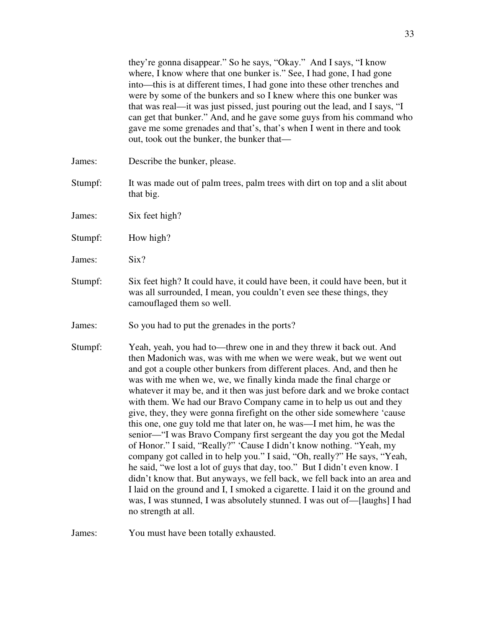they're gonna disappear." So he says, "Okay." And I says, "I know where, I know where that one bunker is." See, I had gone, I had gone into—this is at different times, I had gone into these other trenches and were by some of the bunkers and so I knew where this one bunker was that was real—it was just pissed, just pouring out the lead, and I says, "I can get that bunker." And, and he gave some guys from his command who gave me some grenades and that's, that's when I went in there and took out, took out the bunker, the bunker that—

- James: Describe the bunker, please.
- Stumpf: It was made out of palm trees, palm trees with dirt on top and a slit about that big.
- James: Six feet high?
- Stumpf: How high?
- James: Six?
- Stumpf: Six feet high? It could have, it could have been, it could have been, but it was all surrounded, I mean, you couldn't even see these things, they camouflaged them so well.
- James: So you had to put the grenades in the ports?
- Stumpf: Yeah, yeah, you had to—threw one in and they threw it back out. And then Madonich was, was with me when we were weak, but we went out and got a couple other bunkers from different places. And, and then he was with me when we, we, we finally kinda made the final charge or whatever it may be, and it then was just before dark and we broke contact with them. We had our Bravo Company came in to help us out and they give, they, they were gonna firefight on the other side somewhere 'cause this one, one guy told me that later on, he was—I met him, he was the senior—"I was Bravo Company first sergeant the day you got the Medal of Honor." I said, "Really?" 'Cause I didn't know nothing. "Yeah, my company got called in to help you." I said, "Oh, really?" He says, "Yeah, he said, "we lost a lot of guys that day, too." But I didn't even know. I didn't know that. But anyways, we fell back, we fell back into an area and I laid on the ground and I, I smoked a cigarette. I laid it on the ground and was, I was stunned, I was absolutely stunned. I was out of—[laughs] I had no strength at all.

James: You must have been totally exhausted.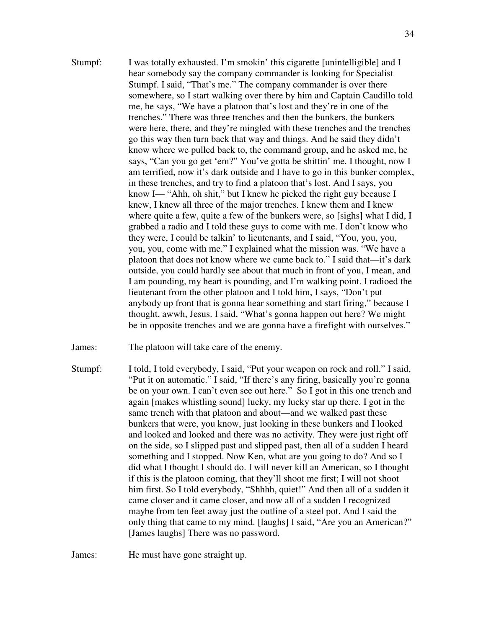- Stumpf: I was totally exhausted. I'm smokin' this cigarette [unintelligible] and I hear somebody say the company commander is looking for Specialist Stumpf. I said, "That's me." The company commander is over there somewhere, so I start walking over there by him and Captain Caudillo told me, he says, "We have a platoon that's lost and they're in one of the trenches." There was three trenches and then the bunkers, the bunkers were here, there, and they're mingled with these trenches and the trenches go this way then turn back that way and things. And he said they didn't know where we pulled back to, the command group, and he asked me, he says, "Can you go get 'em?" You've gotta be shittin' me. I thought, now I am terrified, now it's dark outside and I have to go in this bunker complex, in these trenches, and try to find a platoon that's lost. And I says, you know I— "Ahh, oh shit," but I knew he picked the right guy because I knew, I knew all three of the major trenches. I knew them and I knew where quite a few, quite a few of the bunkers were, so [sighs] what I did, I grabbed a radio and I told these guys to come with me. I don't know who they were, I could be talkin' to lieutenants, and I said, "You, you, you, you, you, come with me." I explained what the mission was. "We have a platoon that does not know where we came back to." I said that—it's dark outside, you could hardly see about that much in front of you, I mean, and I am pounding, my heart is pounding, and I'm walking point. I radioed the lieutenant from the other platoon and I told him, I says, "Don't put anybody up front that is gonna hear something and start firing," because I thought, awwh, Jesus. I said, "What's gonna happen out here? We might be in opposite trenches and we are gonna have a firefight with ourselves."
- James: The platoon will take care of the enemy.
- Stumpf: I told, I told everybody, I said, "Put your weapon on rock and roll." I said, "Put it on automatic." I said, "If there's any firing, basically you're gonna be on your own. I can't even see out here." So I got in this one trench and again [makes whistling sound] lucky, my lucky star up there. I got in the same trench with that platoon and about—and we walked past these bunkers that were, you know, just looking in these bunkers and I looked and looked and looked and there was no activity. They were just right off on the side, so I slipped past and slipped past, then all of a sudden I heard something and I stopped. Now Ken, what are you going to do? And so I did what I thought I should do. I will never kill an American, so I thought if this is the platoon coming, that they'll shoot me first; I will not shoot him first. So I told everybody, "Shhhh, quiet!" And then all of a sudden it came closer and it came closer, and now all of a sudden I recognized maybe from ten feet away just the outline of a steel pot. And I said the only thing that came to my mind. [laughs] I said, "Are you an American?" [James laughs] There was no password.

James: He must have gone straight up.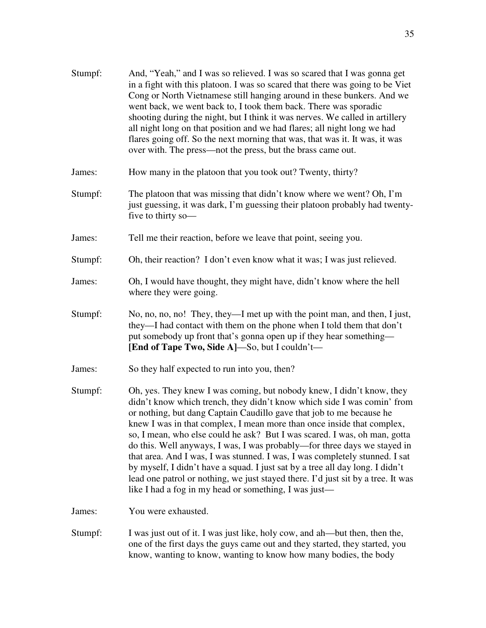| Stumpf: | And, "Yeah," and I was so relieved. I was so scared that I was gonna get<br>in a fight with this platoon. I was so scared that there was going to be Viet<br>Cong or North Vietnamese still hanging around in these bunkers. And we<br>went back, we went back to, I took them back. There was sporadic<br>shooting during the night, but I think it was nerves. We called in artillery<br>all night long on that position and we had flares; all night long we had<br>flares going off. So the next morning that was, that was it. It was, it was<br>over with. The press—not the press, but the brass came out.                                                                                                                                                        |
|---------|--------------------------------------------------------------------------------------------------------------------------------------------------------------------------------------------------------------------------------------------------------------------------------------------------------------------------------------------------------------------------------------------------------------------------------------------------------------------------------------------------------------------------------------------------------------------------------------------------------------------------------------------------------------------------------------------------------------------------------------------------------------------------|
| James:  | How many in the platoon that you took out? Twenty, thirty?                                                                                                                                                                                                                                                                                                                                                                                                                                                                                                                                                                                                                                                                                                               |
| Stumpf: | The platoon that was missing that didn't know where we went? Oh, I'm<br>just guessing, it was dark, I'm guessing their platoon probably had twenty-<br>five to thirty so-                                                                                                                                                                                                                                                                                                                                                                                                                                                                                                                                                                                                |
| James:  | Tell me their reaction, before we leave that point, seeing you.                                                                                                                                                                                                                                                                                                                                                                                                                                                                                                                                                                                                                                                                                                          |
| Stumpf: | Oh, their reaction? I don't even know what it was; I was just relieved.                                                                                                                                                                                                                                                                                                                                                                                                                                                                                                                                                                                                                                                                                                  |
| James:  | Oh, I would have thought, they might have, didn't know where the hell<br>where they were going.                                                                                                                                                                                                                                                                                                                                                                                                                                                                                                                                                                                                                                                                          |
| Stumpf: | No, no, no, no! They, they—I met up with the point man, and then, I just,<br>they—I had contact with them on the phone when I told them that don't<br>put somebody up front that's gonna open up if they hear something—<br>[End of Tape Two, Side A]-So, but I couldn't-                                                                                                                                                                                                                                                                                                                                                                                                                                                                                                |
| James:  | So they half expected to run into you, then?                                                                                                                                                                                                                                                                                                                                                                                                                                                                                                                                                                                                                                                                                                                             |
| Stumpf: | Oh, yes. They knew I was coming, but nobody knew, I didn't know, they<br>didn't know which trench, they didn't know which side I was comin' from<br>or nothing, but dang Captain Caudillo gave that job to me because he<br>knew I was in that complex, I mean more than once inside that complex,<br>so, I mean, who else could he ask? But I was scared. I was, oh man, gotta<br>do this. Well anyways, I was, I was probably—for three days we stayed in<br>that area. And I was, I was stunned. I was, I was completely stunned. I sat<br>by myself, I didn't have a squad. I just sat by a tree all day long. I didn't<br>lead one patrol or nothing, we just stayed there. I'd just sit by a tree. It was<br>like I had a fog in my head or something, I was just— |
| James:  | You were exhausted.                                                                                                                                                                                                                                                                                                                                                                                                                                                                                                                                                                                                                                                                                                                                                      |
| Stumpf: | I was just out of it. I was just like, holy cow, and ah—but then, then the,<br>one of the first days the guys came out and they started, they started, you                                                                                                                                                                                                                                                                                                                                                                                                                                                                                                                                                                                                               |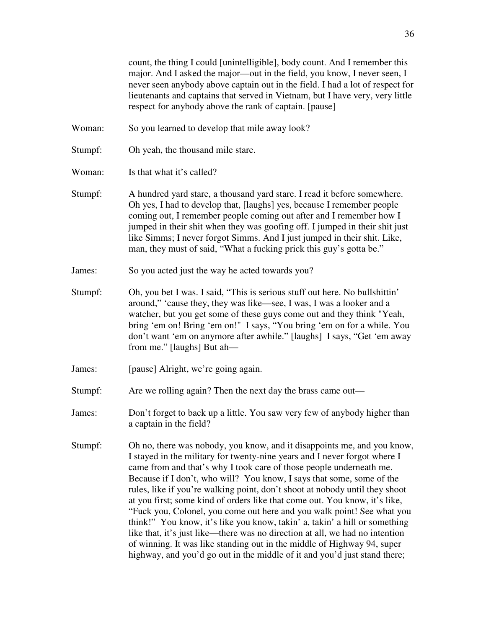count, the thing I could [unintelligible], body count. And I remember this major. And I asked the major—out in the field, you know, I never seen, I never seen anybody above captain out in the field. I had a lot of respect for lieutenants and captains that served in Vietnam, but I have very, very little respect for anybody above the rank of captain. [pause]

- Woman: So you learned to develop that mile away look?
- Stumpf: Oh yeah, the thousand mile stare.
- Woman: Is that what it's called?
- Stumpf: A hundred yard stare, a thousand yard stare. I read it before somewhere. Oh yes, I had to develop that, [laughs] yes, because I remember people coming out, I remember people coming out after and I remember how I jumped in their shit when they was goofing off. I jumped in their shit just like Simms; I never forgot Simms. And I just jumped in their shit. Like, man, they must of said, "What a fucking prick this guy's gotta be."
- James: So you acted just the way he acted towards you?
- Stumpf: Oh, you bet I was. I said, "This is serious stuff out here. No bullshittin' around," 'cause they, they was like—see, I was, I was a looker and a watcher, but you get some of these guys come out and they think "Yeah, bring 'em on! Bring 'em on!" I says, "You bring 'em on for a while. You don't want 'em on anymore after awhile." [laughs] I says, "Get 'em away from me." [laughs] But ah—
- James: [pause] Alright, we're going again.
- Stumpf: Are we rolling again? Then the next day the brass came out—
- James: Don't forget to back up a little. You saw very few of anybody higher than a captain in the field?
- Stumpf: Oh no, there was nobody, you know, and it disappoints me, and you know, I stayed in the military for twenty-nine years and I never forgot where I came from and that's why I took care of those people underneath me. Because if I don't, who will? You know, I says that some, some of the rules, like if you're walking point, don't shoot at nobody until they shoot at you first; some kind of orders like that come out. You know, it's like, "Fuck you, Colonel, you come out here and you walk point! See what you think!" You know, it's like you know, takin' a, takin' a hill or something like that, it's just like—there was no direction at all, we had no intention of winning. It was like standing out in the middle of Highway 94, super highway, and you'd go out in the middle of it and you'd just stand there;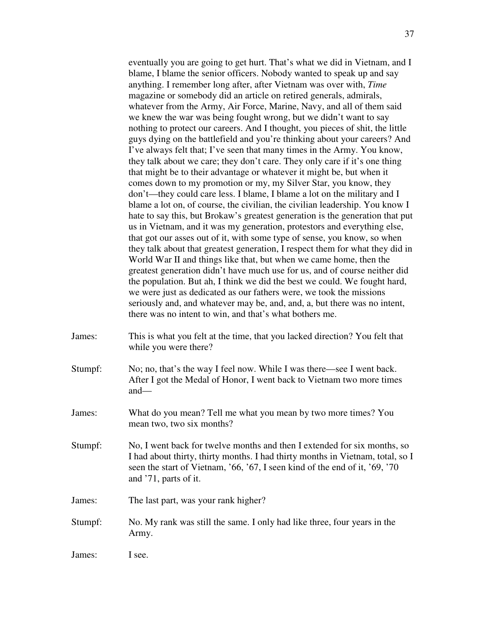eventually you are going to get hurt. That's what we did in Vietnam, and I blame, I blame the senior officers. Nobody wanted to speak up and say anything. I remember long after, after Vietnam was over with, *Time* magazine or somebody did an article on retired generals, admirals, whatever from the Army, Air Force, Marine, Navy, and all of them said we knew the war was being fought wrong, but we didn't want to say nothing to protect our careers. And I thought, you pieces of shit, the little guys dying on the battlefield and you're thinking about your careers? And I've always felt that; I've seen that many times in the Army. You know, they talk about we care; they don't care. They only care if it's one thing that might be to their advantage or whatever it might be, but when it comes down to my promotion or my, my Silver Star, you know, they don't—they could care less. I blame, I blame a lot on the military and I blame a lot on, of course, the civilian, the civilian leadership. You know I hate to say this, but Brokaw's greatest generation is the generation that put us in Vietnam, and it was my generation, protestors and everything else, that got our asses out of it, with some type of sense, you know, so when they talk about that greatest generation, I respect them for what they did in World War II and things like that, but when we came home, then the greatest generation didn't have much use for us, and of course neither did the population. But ah, I think we did the best we could. We fought hard, we were just as dedicated as our fathers were, we took the missions seriously and, and whatever may be, and, and, a, but there was no intent, there was no intent to win, and that's what bothers me.

- James: This is what you felt at the time, that you lacked direction? You felt that while you were there?
- Stumpf: No; no, that's the way I feel now. While I was there—see I went back. After I got the Medal of Honor, I went back to Vietnam two more times and—
- James: What do you mean? Tell me what you mean by two more times? You mean two, two six months?
- Stumpf: No, I went back for twelve months and then I extended for six months, so I had about thirty, thirty months. I had thirty months in Vietnam, total, so I seen the start of Vietnam, '66, '67, I seen kind of the end of it, '69, '70 and '71, parts of it.
- James: The last part, was your rank higher?
- Stumpf: No. My rank was still the same. I only had like three, four years in the Army.

James: I see.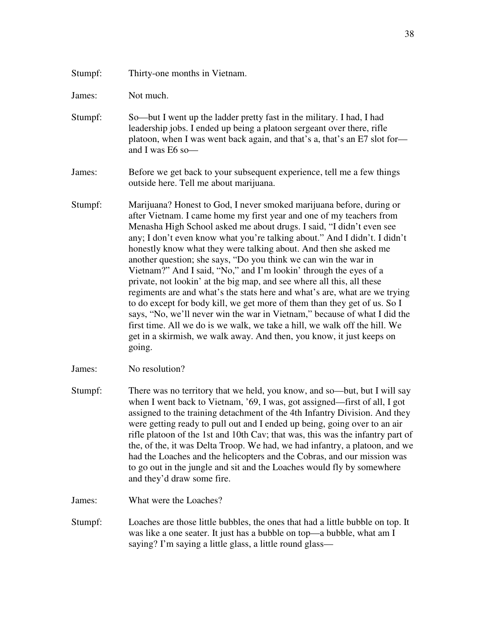James: Not much.

- Stumpf: So—but I went up the ladder pretty fast in the military. I had, I had leadership jobs. I ended up being a platoon sergeant over there, rifle platoon, when I was went back again, and that's a, that's an E7 slot for and I was E6 so—
- James: Before we get back to your subsequent experience, tell me a few things outside here. Tell me about marijuana.
- Stumpf: Marijuana? Honest to God, I never smoked marijuana before, during or after Vietnam. I came home my first year and one of my teachers from Menasha High School asked me about drugs. I said, "I didn't even see any; I don't even know what you're talking about." And I didn't. I didn't honestly know what they were talking about. And then she asked me another question; she says, "Do you think we can win the war in Vietnam?" And I said, "No," and I'm lookin' through the eyes of a private, not lookin' at the big map, and see where all this, all these regiments are and what's the stats here and what's are, what are we trying to do except for body kill, we get more of them than they get of us. So I says, "No, we'll never win the war in Vietnam," because of what I did the first time. All we do is we walk, we take a hill, we walk off the hill. We get in a skirmish, we walk away. And then, you know, it just keeps on going.
- James: No resolution?
- Stumpf: There was no territory that we held, you know, and so—but, but I will say when I went back to Vietnam, '69, I was, got assigned—first of all, I got assigned to the training detachment of the 4th Infantry Division. And they were getting ready to pull out and I ended up being, going over to an air rifle platoon of the 1st and 10th Cav; that was, this was the infantry part of the, of the, it was Delta Troop. We had, we had infantry, a platoon, and we had the Loaches and the helicopters and the Cobras, and our mission was to go out in the jungle and sit and the Loaches would fly by somewhere and they'd draw some fire.

James: What were the Loaches?

Stumpf: Loaches are those little bubbles, the ones that had a little bubble on top. It was like a one seater. It just has a bubble on top—a bubble, what am I saying? I'm saying a little glass, a little round glass—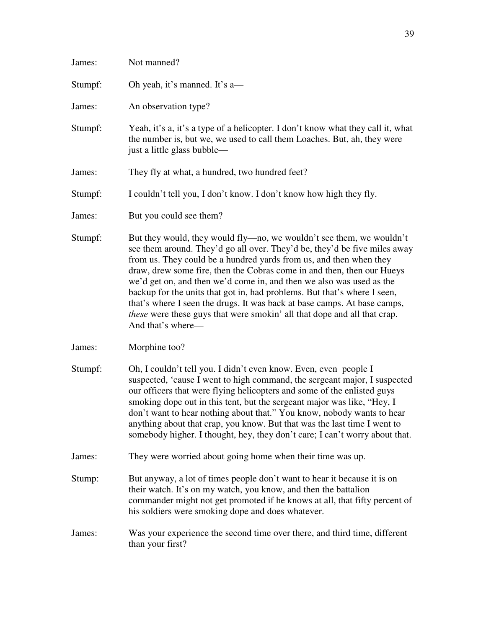| James:  | Not manned?                                                                                                                                                                                                                                                                                                                                                                                                                                                                                                                                                                                                                               |
|---------|-------------------------------------------------------------------------------------------------------------------------------------------------------------------------------------------------------------------------------------------------------------------------------------------------------------------------------------------------------------------------------------------------------------------------------------------------------------------------------------------------------------------------------------------------------------------------------------------------------------------------------------------|
| Stumpf: | Oh yeah, it's manned. It's a—                                                                                                                                                                                                                                                                                                                                                                                                                                                                                                                                                                                                             |
| James:  | An observation type?                                                                                                                                                                                                                                                                                                                                                                                                                                                                                                                                                                                                                      |
| Stumpf: | Yeah, it's a, it's a type of a helicopter. I don't know what they call it, what<br>the number is, but we, we used to call them Loaches. But, ah, they were<br>just a little glass bubble—                                                                                                                                                                                                                                                                                                                                                                                                                                                 |
| James:  | They fly at what, a hundred, two hundred feet?                                                                                                                                                                                                                                                                                                                                                                                                                                                                                                                                                                                            |
| Stumpf: | I couldn't tell you, I don't know. I don't know how high they fly.                                                                                                                                                                                                                                                                                                                                                                                                                                                                                                                                                                        |
| James:  | But you could see them?                                                                                                                                                                                                                                                                                                                                                                                                                                                                                                                                                                                                                   |
| Stumpf: | But they would, they would fly—no, we wouldn't see them, we wouldn't<br>see them around. They'd go all over. They'd be, they'd be five miles away<br>from us. They could be a hundred yards from us, and then when they<br>draw, drew some fire, then the Cobras come in and then, then our Hueys<br>we'd get on, and then we'd come in, and then we also was used as the<br>backup for the units that got in, had problems. But that's where I seen,<br>that's where I seen the drugs. It was back at base camps. At base camps,<br><i>these</i> were these guys that were smokin' all that dope and all that crap.<br>And that's where- |
| James:  | Morphine too?                                                                                                                                                                                                                                                                                                                                                                                                                                                                                                                                                                                                                             |
| Stumpf: | Oh, I couldn't tell you. I didn't even know. Even, even people I<br>suspected, 'cause I went to high command, the sergeant major, I suspected<br>our officers that were flying helicopters and some of the enlisted guys<br>smoking dope out in this tent, but the sergeant major was like, "Hey, I<br>don't want to hear nothing about that." You know, nobody wants to hear<br>anything about that crap, you know. But that was the last time I went to<br>somebody higher. I thought, hey, they don't care; I can't worry about that.                                                                                                  |
| James:  | They were worried about going home when their time was up.                                                                                                                                                                                                                                                                                                                                                                                                                                                                                                                                                                                |
| Stump:  | But anyway, a lot of times people don't want to hear it because it is on<br>their watch. It's on my watch, you know, and then the battalion<br>commander might not get promoted if he knows at all, that fifty percent of<br>his soldiers were smoking dope and does whatever.                                                                                                                                                                                                                                                                                                                                                            |
| James:  | Was your experience the second time over there, and third time, different<br>than your first?                                                                                                                                                                                                                                                                                                                                                                                                                                                                                                                                             |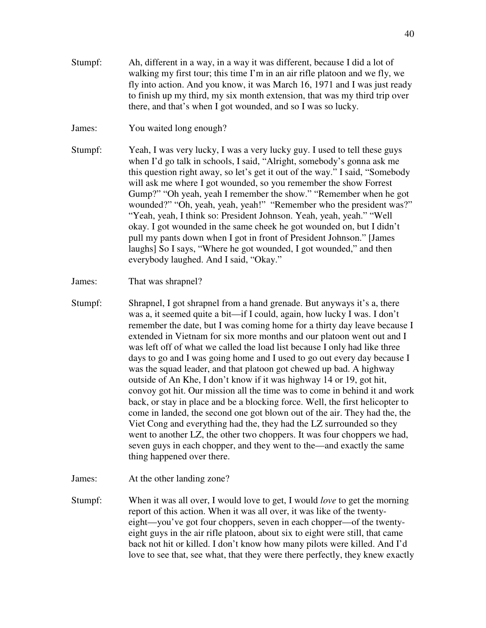- Stumpf: Ah, different in a way, in a way it was different, because I did a lot of walking my first tour; this time I'm in an air rifle platoon and we fly, we fly into action. And you know, it was March 16, 1971 and I was just ready to finish up my third, my six month extension, that was my third trip over there, and that's when I got wounded, and so I was so lucky.
- James: You waited long enough?

Stumpf: Yeah, I was very lucky, I was a very lucky guy. I used to tell these guys when I'd go talk in schools, I said, "Alright, somebody's gonna ask me this question right away, so let's get it out of the way." I said, "Somebody will ask me where I got wounded, so you remember the show Forrest Gump?" "Oh yeah, yeah I remember the show." "Remember when he got wounded?" "Oh, yeah, yeah, yeah!" "Remember who the president was?" "Yeah, yeah, I think so: President Johnson. Yeah, yeah, yeah." "Well okay. I got wounded in the same cheek he got wounded on, but I didn't pull my pants down when I got in front of President Johnson." [James laughs] So I says, "Where he got wounded, I got wounded," and then everybody laughed. And I said, "Okay."

#### James: That was shrapnel?

Stumpf: Shrapnel, I got shrapnel from a hand grenade. But anyways it's a, there was a, it seemed quite a bit—if I could, again, how lucky I was. I don't remember the date, but I was coming home for a thirty day leave because I extended in Vietnam for six more months and our platoon went out and I was left off of what we called the load list because I only had like three days to go and I was going home and I used to go out every day because I was the squad leader, and that platoon got chewed up bad. A highway outside of An Khe, I don't know if it was highway 14 or 19, got hit, convoy got hit. Our mission all the time was to come in behind it and work back, or stay in place and be a blocking force. Well, the first helicopter to come in landed, the second one got blown out of the air. They had the, the Viet Cong and everything had the, they had the LZ surrounded so they went to another LZ, the other two choppers. It was four choppers we had, seven guys in each chopper, and they went to the—and exactly the same thing happened over there.

James: At the other landing zone?

Stumpf: When it was all over, I would love to get, I would *love* to get the morning report of this action. When it was all over, it was like of the twentyeight—you've got four choppers, seven in each chopper—of the twentyeight guys in the air rifle platoon, about six to eight were still, that came back not hit or killed. I don't know how many pilots were killed. And I'd love to see that, see what, that they were there perfectly, they knew exactly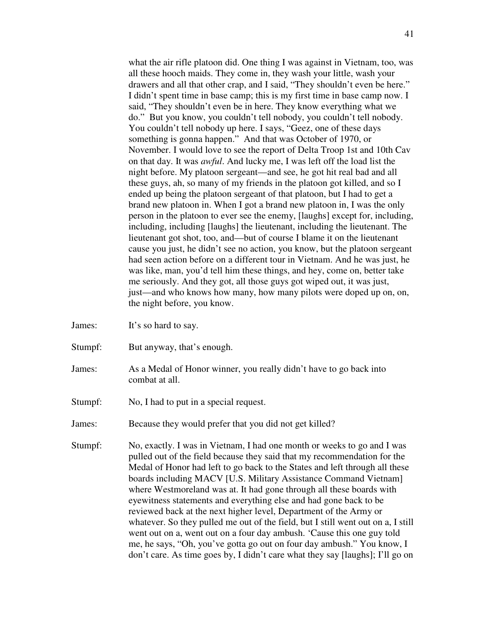what the air rifle platoon did. One thing I was against in Vietnam, too, was all these hooch maids. They come in, they wash your little, wash your drawers and all that other crap, and I said, "They shouldn't even be here." I didn't spent time in base camp; this is my first time in base camp now. I said, "They shouldn't even be in here. They know everything what we do." But you know, you couldn't tell nobody, you couldn't tell nobody. You couldn't tell nobody up here. I says, "Geez, one of these days something is gonna happen." And that was October of 1970, or November. I would love to see the report of Delta Troop 1st and 10th Cav on that day. It was *awful*. And lucky me, I was left off the load list the night before. My platoon sergeant—and see, he got hit real bad and all these guys, ah, so many of my friends in the platoon got killed, and so I ended up being the platoon sergeant of that platoon, but I had to get a brand new platoon in. When I got a brand new platoon in, I was the only person in the platoon to ever see the enemy, [laughs] except for, including, including, including [laughs] the lieutenant, including the lieutenant. The lieutenant got shot, too, and—but of course I blame it on the lieutenant cause you just, he didn't see no action, you know, but the platoon sergeant had seen action before on a different tour in Vietnam. And he was just, he was like, man, you'd tell him these things, and hey, come on, better take me seriously. And they got, all those guys got wiped out, it was just, just—and who knows how many, how many pilots were doped up on, on, the night before, you know.

- James: It's so hard to say.
- Stumpf: But anyway, that's enough.
- James: As a Medal of Honor winner, you really didn't have to go back into combat at all.
- Stumpf: No, I had to put in a special request.
- James: Because they would prefer that you did not get killed?
- Stumpf: No, exactly. I was in Vietnam, I had one month or weeks to go and I was pulled out of the field because they said that my recommendation for the Medal of Honor had left to go back to the States and left through all these boards including MACV [U.S. Military Assistance Command Vietnam] where Westmoreland was at. It had gone through all these boards with eyewitness statements and everything else and had gone back to be reviewed back at the next higher level, Department of the Army or whatever. So they pulled me out of the field, but I still went out on a, I still went out on a, went out on a four day ambush. 'Cause this one guy told me, he says, "Oh, you've gotta go out on four day ambush." You know, I don't care. As time goes by, I didn't care what they say [laughs]; I'll go on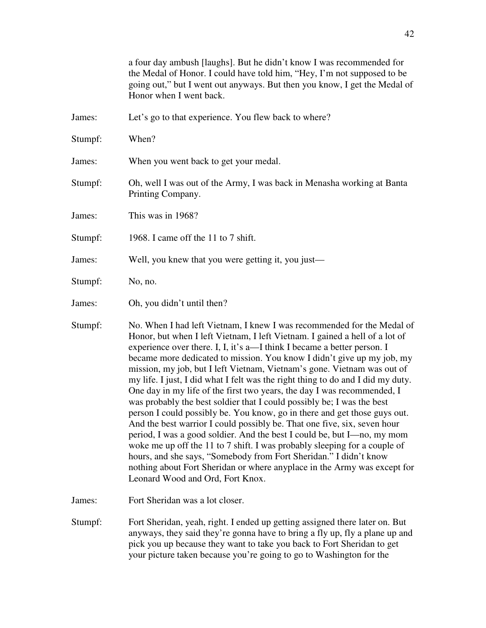|         | a four day ambush [laughs]. But he didn't know I was recommended for<br>the Medal of Honor. I could have told him, "Hey, I'm not supposed to be<br>going out," but I went out anyways. But then you know, I get the Medal of<br>Honor when I went back.                                                                                                                                                                                                                                                                                                                                                                                                                                                                                                                                                                                                                                                                                                                                                                                                                                                                             |
|---------|-------------------------------------------------------------------------------------------------------------------------------------------------------------------------------------------------------------------------------------------------------------------------------------------------------------------------------------------------------------------------------------------------------------------------------------------------------------------------------------------------------------------------------------------------------------------------------------------------------------------------------------------------------------------------------------------------------------------------------------------------------------------------------------------------------------------------------------------------------------------------------------------------------------------------------------------------------------------------------------------------------------------------------------------------------------------------------------------------------------------------------------|
| James:  | Let's go to that experience. You flew back to where?                                                                                                                                                                                                                                                                                                                                                                                                                                                                                                                                                                                                                                                                                                                                                                                                                                                                                                                                                                                                                                                                                |
| Stumpf: | When?                                                                                                                                                                                                                                                                                                                                                                                                                                                                                                                                                                                                                                                                                                                                                                                                                                                                                                                                                                                                                                                                                                                               |
| James:  | When you went back to get your medal.                                                                                                                                                                                                                                                                                                                                                                                                                                                                                                                                                                                                                                                                                                                                                                                                                                                                                                                                                                                                                                                                                               |
| Stumpf: | Oh, well I was out of the Army, I was back in Menasha working at Banta<br>Printing Company.                                                                                                                                                                                                                                                                                                                                                                                                                                                                                                                                                                                                                                                                                                                                                                                                                                                                                                                                                                                                                                         |
| James:  | This was in 1968?                                                                                                                                                                                                                                                                                                                                                                                                                                                                                                                                                                                                                                                                                                                                                                                                                                                                                                                                                                                                                                                                                                                   |
| Stumpf: | 1968. I came off the 11 to 7 shift.                                                                                                                                                                                                                                                                                                                                                                                                                                                                                                                                                                                                                                                                                                                                                                                                                                                                                                                                                                                                                                                                                                 |
| James:  | Well, you knew that you were getting it, you just—                                                                                                                                                                                                                                                                                                                                                                                                                                                                                                                                                                                                                                                                                                                                                                                                                                                                                                                                                                                                                                                                                  |
| Stumpf: | No, no.                                                                                                                                                                                                                                                                                                                                                                                                                                                                                                                                                                                                                                                                                                                                                                                                                                                                                                                                                                                                                                                                                                                             |
| James:  | Oh, you didn't until then?                                                                                                                                                                                                                                                                                                                                                                                                                                                                                                                                                                                                                                                                                                                                                                                                                                                                                                                                                                                                                                                                                                          |
| Stumpf: | No. When I had left Vietnam, I knew I was recommended for the Medal of<br>Honor, but when I left Vietnam, I left Vietnam. I gained a hell of a lot of<br>experience over there. I, I, it's a—I think I became a better person. I<br>became more dedicated to mission. You know I didn't give up my job, my<br>mission, my job, but I left Vietnam, Vietnam's gone. Vietnam was out of<br>my life. I just, I did what I felt was the right thing to do and I did my duty.<br>One day in my life of the first two years, the day I was recommended, I<br>was probably the best soldier that I could possibly be; I was the best<br>person I could possibly be. You know, go in there and get those guys out.<br>And the best warrior I could possibly be. That one five, six, seven hour<br>period, I was a good soldier. And the best I could be, but I—no, my mom<br>woke me up off the 11 to 7 shift. I was probably sleeping for a couple of<br>hours, and she says, "Somebody from Fort Sheridan." I didn't know<br>nothing about Fort Sheridan or where anyplace in the Army was except for<br>Leonard Wood and Ord, Fort Knox. |

James: Fort Sheridan was a lot closer.

Stumpf: Fort Sheridan, yeah, right. I ended up getting assigned there later on. But anyways, they said they're gonna have to bring a fly up, fly a plane up and pick you up because they want to take you back to Fort Sheridan to get your picture taken because you're going to go to Washington for the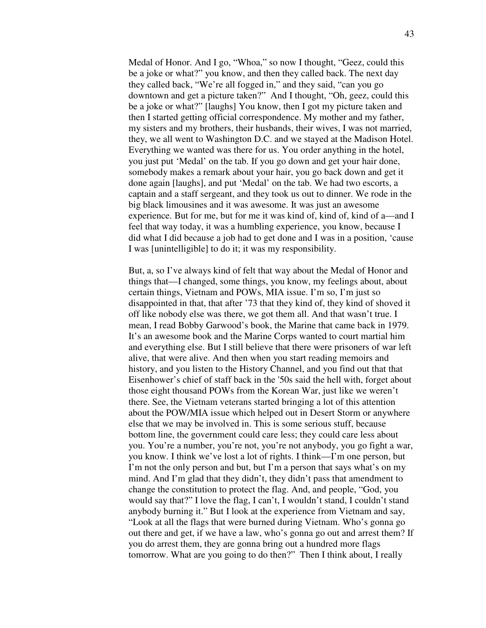Medal of Honor. And I go, "Whoa," so now I thought, "Geez, could this be a joke or what?" you know, and then they called back. The next day they called back, "We're all fogged in," and they said, "can you go downtown and get a picture taken?" And I thought, "Oh, geez, could this be a joke or what?" [laughs] You know, then I got my picture taken and then I started getting official correspondence. My mother and my father, my sisters and my brothers, their husbands, their wives, I was not married, they, we all went to Washington D.C. and we stayed at the Madison Hotel. Everything we wanted was there for us. You order anything in the hotel, you just put 'Medal' on the tab. If you go down and get your hair done, somebody makes a remark about your hair, you go back down and get it done again [laughs], and put 'Medal' on the tab. We had two escorts, a captain and a staff sergeant, and they took us out to dinner. We rode in the big black limousines and it was awesome. It was just an awesome experience. But for me, but for me it was kind of, kind of, kind of a—and I feel that way today, it was a humbling experience, you know, because I did what I did because a job had to get done and I was in a position, 'cause I was [unintelligible] to do it; it was my responsibility.

 But, a, so I've always kind of felt that way about the Medal of Honor and things that—I changed, some things, you know, my feelings about, about certain things, Vietnam and POWs, MIA issue. I'm so, I'm just so disappointed in that, that after '73 that they kind of, they kind of shoved it off like nobody else was there, we got them all. And that wasn't true. I mean, I read Bobby Garwood's book, the Marine that came back in 1979. It's an awesome book and the Marine Corps wanted to court martial him and everything else. But I still believe that there were prisoners of war left alive, that were alive. And then when you start reading memoirs and history, and you listen to the History Channel, and you find out that that Eisenhower's chief of staff back in the '50s said the hell with, forget about those eight thousand POWs from the Korean War, just like we weren't there. See, the Vietnam veterans started bringing a lot of this attention about the POW/MIA issue which helped out in Desert Storm or anywhere else that we may be involved in. This is some serious stuff, because bottom line, the government could care less; they could care less about you. You're a number, you're not, you're not anybody, you go fight a war, you know. I think we've lost a lot of rights. I think—I'm one person, but I'm not the only person and but, but I'm a person that says what's on my mind. And I'm glad that they didn't, they didn't pass that amendment to change the constitution to protect the flag. And, and people, "God, you would say that?" I love the flag, I can't, I wouldn't stand, I couldn't stand anybody burning it." But I look at the experience from Vietnam and say, "Look at all the flags that were burned during Vietnam. Who's gonna go out there and get, if we have a law, who's gonna go out and arrest them? If you do arrest them, they are gonna bring out a hundred more flags tomorrow. What are you going to do then?" Then I think about, I really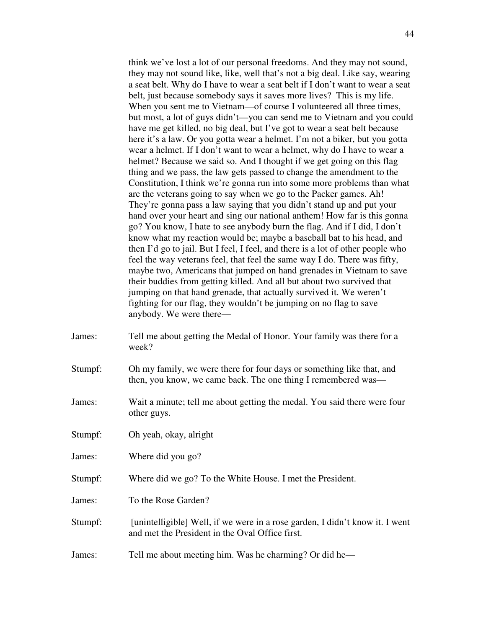think we've lost a lot of our personal freedoms. And they may not sound, they may not sound like, like, well that's not a big deal. Like say, wearing a seat belt. Why do I have to wear a seat belt if I don't want to wear a seat belt, just because somebody says it saves more lives? This is my life. When you sent me to Vietnam—of course I volunteered all three times, but most, a lot of guys didn't—you can send me to Vietnam and you could have me get killed, no big deal, but I've got to wear a seat belt because here it's a law. Or you gotta wear a helmet. I'm not a biker, but you gotta wear a helmet. If I don't want to wear a helmet, why do I have to wear a helmet? Because we said so. And I thought if we get going on this flag thing and we pass, the law gets passed to change the amendment to the Constitution, I think we're gonna run into some more problems than what are the veterans going to say when we go to the Packer games. Ah! They're gonna pass a law saying that you didn't stand up and put your hand over your heart and sing our national anthem! How far is this gonna go? You know, I hate to see anybody burn the flag. And if I did, I don't know what my reaction would be; maybe a baseball bat to his head, and then I'd go to jail. But I feel, I feel, and there is a lot of other people who feel the way veterans feel, that feel the same way I do. There was fifty, maybe two, Americans that jumped on hand grenades in Vietnam to save their buddies from getting killed. And all but about two survived that jumping on that hand grenade, that actually survived it. We weren't fighting for our flag, they wouldn't be jumping on no flag to save anybody. We were there—

- James: Tell me about getting the Medal of Honor. Your family was there for a week?
- Stumpf: Oh my family, we were there for four days or something like that, and then, you know, we came back. The one thing I remembered was—
- James: Wait a minute; tell me about getting the medal. You said there were four other guys.
- Stumpf: Oh yeah, okay, alright
- James: Where did you go?
- Stumpf: Where did we go? To the White House. I met the President.
- James: To the Rose Garden?
- Stumpf: [unintelligible] Well, if we were in a rose garden, I didn't know it. I went and met the President in the Oval Office first.
- James: Tell me about meeting him. Was he charming? Or did he—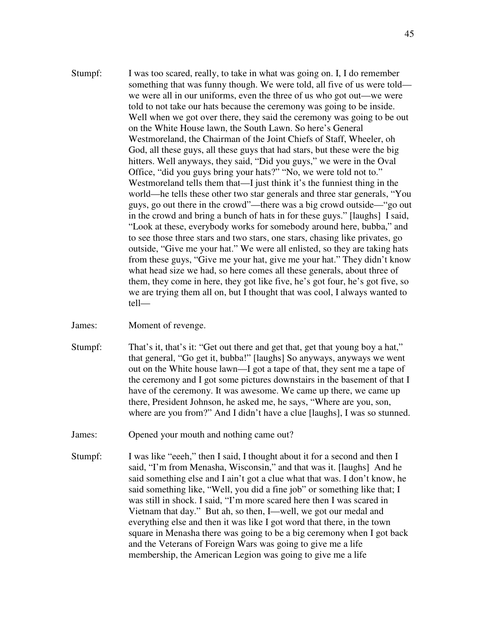- Stumpf: I was too scared, really, to take in what was going on. I, I do remember something that was funny though. We were told, all five of us were told we were all in our uniforms, even the three of us who got out—we were told to not take our hats because the ceremony was going to be inside. Well when we got over there, they said the ceremony was going to be out on the White House lawn, the South Lawn. So here's General Westmoreland, the Chairman of the Joint Chiefs of Staff, Wheeler, oh God, all these guys, all these guys that had stars, but these were the big hitters. Well anyways, they said, "Did you guys," we were in the Oval Office, "did you guys bring your hats?" "No, we were told not to." Westmoreland tells them that—I just think it's the funniest thing in the world—he tells these other two star generals and three star generals, "You guys, go out there in the crowd"—there was a big crowd outside—"go out in the crowd and bring a bunch of hats in for these guys." [laughs] I said, "Look at these, everybody works for somebody around here, bubba," and to see those three stars and two stars, one stars, chasing like privates, go outside, "Give me your hat." We were all enlisted, so they are taking hats from these guys, "Give me your hat, give me your hat." They didn't know what head size we had, so here comes all these generals, about three of them, they come in here, they got like five, he's got four, he's got five, so we are trying them all on, but I thought that was cool, I always wanted to tell—
- James: Moment of revenge.
- Stumpf: That's it, that's it: "Get out there and get that, get that young boy a hat," that general, "Go get it, bubba!" [laughs] So anyways, anyways we went out on the White house lawn—I got a tape of that, they sent me a tape of the ceremony and I got some pictures downstairs in the basement of that I have of the ceremony. It was awesome. We came up there, we came up there, President Johnson, he asked me, he says, "Where are you, son, where are you from?" And I didn't have a clue [laughs], I was so stunned.
- James: Opened your mouth and nothing came out?
- Stumpf: I was like "eeeh," then I said, I thought about it for a second and then I said, "I'm from Menasha, Wisconsin," and that was it. [laughs] And he said something else and I ain't got a clue what that was. I don't know, he said something like, "Well, you did a fine job" or something like that; I was still in shock. I said, "I'm more scared here then I was scared in Vietnam that day." But ah, so then, I—well, we got our medal and everything else and then it was like I got word that there, in the town square in Menasha there was going to be a big ceremony when I got back and the Veterans of Foreign Wars was going to give me a life membership, the American Legion was going to give me a life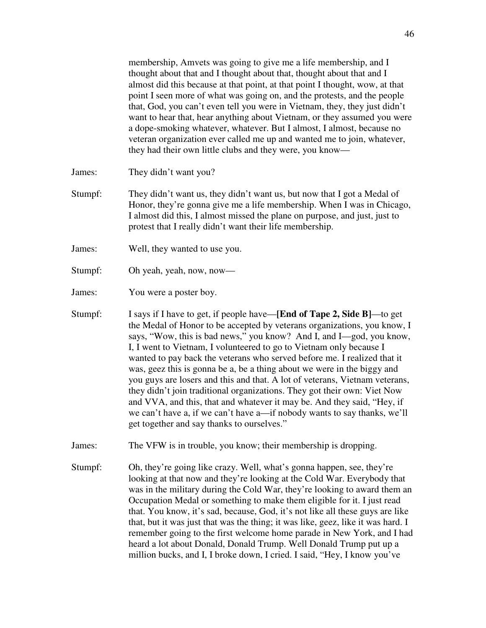membership, Amvets was going to give me a life membership, and I thought about that and I thought about that, thought about that and I almost did this because at that point, at that point I thought, wow, at that point I seen more of what was going on, and the protests, and the people that, God, you can't even tell you were in Vietnam, they, they just didn't want to hear that, hear anything about Vietnam, or they assumed you were a dope-smoking whatever, whatever. But I almost, I almost, because no veteran organization ever called me up and wanted me to join, whatever, they had their own little clubs and they were, you know—

James: They didn't want you?

- Stumpf: They didn't want us, they didn't want us, but now that I got a Medal of Honor, they're gonna give me a life membership. When I was in Chicago, I almost did this, I almost missed the plane on purpose, and just, just to protest that I really didn't want their life membership.
- James: Well, they wanted to use you.
- Stumpf: Oh yeah, yeah, now, now—

James: You were a poster boy.

Stumpf: I says if I have to get, if people have—**[End of Tape 2, Side B]**—to get the Medal of Honor to be accepted by veterans organizations, you know, I says, "Wow, this is bad news," you know? And I, and I—god, you know, I, I went to Vietnam, I volunteered to go to Vietnam only because I wanted to pay back the veterans who served before me. I realized that it was, geez this is gonna be a, be a thing about we were in the biggy and you guys are losers and this and that. A lot of veterans, Vietnam veterans, they didn't join traditional organizations. They got their own: Viet Now and VVA, and this, that and whatever it may be. And they said, "Hey, if we can't have a, if we can't have a—if nobody wants to say thanks, we'll get together and say thanks to ourselves."

James: The VFW is in trouble, you know; their membership is dropping.

Stumpf: Oh, they're going like crazy. Well, what's gonna happen, see, they're looking at that now and they're looking at the Cold War. Everybody that was in the military during the Cold War, they're looking to award them an Occupation Medal or something to make them eligible for it. I just read that. You know, it's sad, because, God, it's not like all these guys are like that, but it was just that was the thing; it was like, geez, like it was hard. I remember going to the first welcome home parade in New York, and I had heard a lot about Donald, Donald Trump. Well Donald Trump put up a million bucks, and I, I broke down, I cried. I said, "Hey, I know you've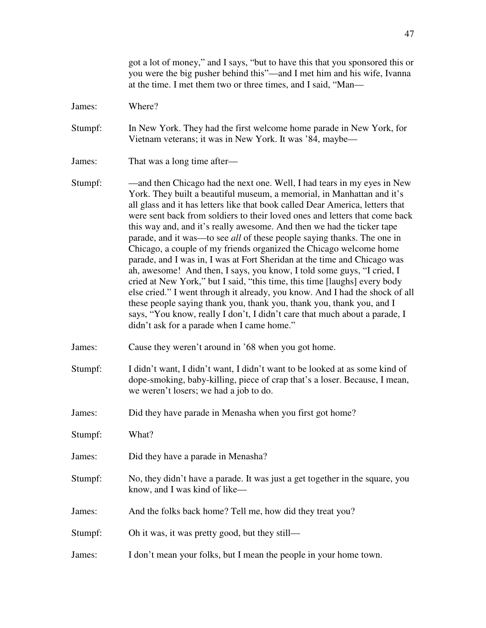got a lot of money," and I says, "but to have this that you sponsored this or you were the big pusher behind this"—and I met him and his wife, Ivanna at the time. I met them two or three times, and I said, "Man—

James: Where?

Stumpf: In New York. They had the first welcome home parade in New York, for Vietnam veterans; it was in New York. It was '84, maybe—

- James: That was a long time after—
- Stumpf: and then Chicago had the next one. Well, I had tears in my eyes in New York. They built a beautiful museum, a memorial, in Manhattan and it's all glass and it has letters like that book called Dear America, letters that were sent back from soldiers to their loved ones and letters that come back this way and, and it's really awesome. And then we had the ticker tape parade, and it was—to see *all* of these people saying thanks. The one in Chicago, a couple of my friends organized the Chicago welcome home parade, and I was in, I was at Fort Sheridan at the time and Chicago was ah, awesome! And then, I says, you know, I told some guys, "I cried, I cried at New York," but I said, "this time, this time [laughs] every body else cried." I went through it already, you know. And I had the shock of all these people saying thank you, thank you, thank you, thank you, and I says, "You know, really I don't, I didn't care that much about a parade, I didn't ask for a parade when I came home."
- James: Cause they weren't around in '68 when you got home.
- Stumpf: I didn't want, I didn't want, I didn't want to be looked at as some kind of dope-smoking, baby-killing, piece of crap that's a loser. Because, I mean, we weren't losers; we had a job to do.
- James: Did they have parade in Menasha when you first got home?
- Stumpf: What?
- James: Did they have a parade in Menasha?
- Stumpf: No, they didn't have a parade. It was just a get together in the square, you know, and I was kind of like—
- James: And the folks back home? Tell me, how did they treat you?

Stumpf: Oh it was, it was pretty good, but they still—

James: I don't mean your folks, but I mean the people in your home town.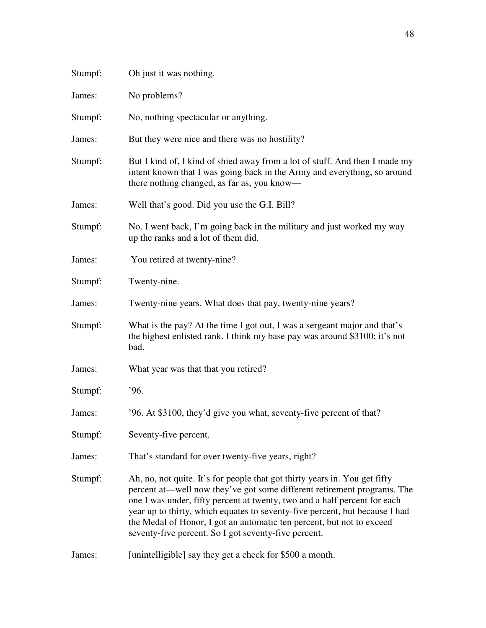| Stumpf: | Oh just it was nothing.                                                                                                                                                                                                                                                                                                                                                                                                                            |
|---------|----------------------------------------------------------------------------------------------------------------------------------------------------------------------------------------------------------------------------------------------------------------------------------------------------------------------------------------------------------------------------------------------------------------------------------------------------|
| James:  | No problems?                                                                                                                                                                                                                                                                                                                                                                                                                                       |
| Stumpf: | No, nothing spectacular or anything.                                                                                                                                                                                                                                                                                                                                                                                                               |
| James:  | But they were nice and there was no hostility?                                                                                                                                                                                                                                                                                                                                                                                                     |
| Stumpf: | But I kind of, I kind of shied away from a lot of stuff. And then I made my<br>intent known that I was going back in the Army and everything, so around<br>there nothing changed, as far as, you know—                                                                                                                                                                                                                                             |
| James:  | Well that's good. Did you use the G.I. Bill?                                                                                                                                                                                                                                                                                                                                                                                                       |
| Stumpf: | No. I went back, I'm going back in the military and just worked my way<br>up the ranks and a lot of them did.                                                                                                                                                                                                                                                                                                                                      |
| James:  | You retired at twenty-nine?                                                                                                                                                                                                                                                                                                                                                                                                                        |
| Stumpf: | Twenty-nine.                                                                                                                                                                                                                                                                                                                                                                                                                                       |
| James:  | Twenty-nine years. What does that pay, twenty-nine years?                                                                                                                                                                                                                                                                                                                                                                                          |
| Stumpf: | What is the pay? At the time I got out, I was a sergeant major and that's<br>the highest enlisted rank. I think my base pay was around \$3100; it's not<br>bad.                                                                                                                                                                                                                                                                                    |
| James:  | What year was that that you retired?                                                                                                                                                                                                                                                                                                                                                                                                               |
| Stumpf: | .96.                                                                                                                                                                                                                                                                                                                                                                                                                                               |
| James:  | '96. At \$3100, they'd give you what, seventy-five percent of that?                                                                                                                                                                                                                                                                                                                                                                                |
| Stumpf: | Seventy-five percent.                                                                                                                                                                                                                                                                                                                                                                                                                              |
| James:  | That's standard for over twenty-five years, right?                                                                                                                                                                                                                                                                                                                                                                                                 |
| Stumpf: | Ah, no, not quite. It's for people that got thirty years in. You get fifty<br>percent at—well now they've got some different retirement programs. The<br>one I was under, fifty percent at twenty, two and a half percent for each<br>year up to thirty, which equates to seventy-five percent, but because I had<br>the Medal of Honor, I got an automatic ten percent, but not to exceed<br>seventy-five percent. So I got seventy-five percent. |
| James:  | [unintelligible] say they get a check for \$500 a month.                                                                                                                                                                                                                                                                                                                                                                                           |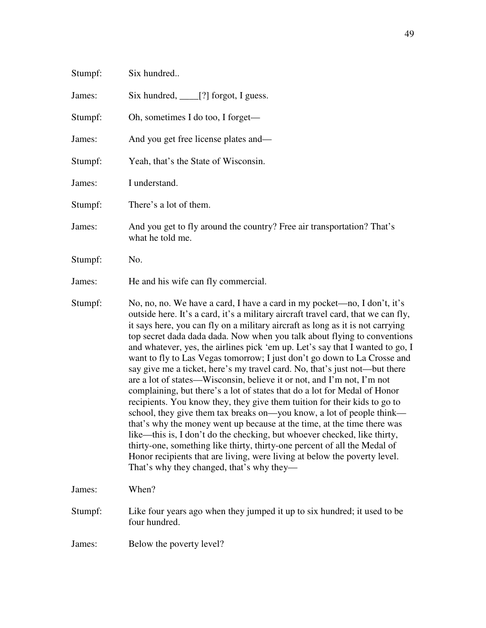| Stumpf: | Six hundred                                                                                                                                                                                                                                                                                                                                                                                                                                                                                                                                                                                                                                                                                                                                                                                                                                                                                                                                                                                                                                                                                                                                                                                                                                       |
|---------|---------------------------------------------------------------------------------------------------------------------------------------------------------------------------------------------------------------------------------------------------------------------------------------------------------------------------------------------------------------------------------------------------------------------------------------------------------------------------------------------------------------------------------------------------------------------------------------------------------------------------------------------------------------------------------------------------------------------------------------------------------------------------------------------------------------------------------------------------------------------------------------------------------------------------------------------------------------------------------------------------------------------------------------------------------------------------------------------------------------------------------------------------------------------------------------------------------------------------------------------------|
| James:  | Six hundred, _____[?] forgot, I guess.                                                                                                                                                                                                                                                                                                                                                                                                                                                                                                                                                                                                                                                                                                                                                                                                                                                                                                                                                                                                                                                                                                                                                                                                            |
| Stumpf: | Oh, sometimes I do too, I forget—                                                                                                                                                                                                                                                                                                                                                                                                                                                                                                                                                                                                                                                                                                                                                                                                                                                                                                                                                                                                                                                                                                                                                                                                                 |
| James:  | And you get free license plates and—                                                                                                                                                                                                                                                                                                                                                                                                                                                                                                                                                                                                                                                                                                                                                                                                                                                                                                                                                                                                                                                                                                                                                                                                              |
| Stumpf: | Yeah, that's the State of Wisconsin.                                                                                                                                                                                                                                                                                                                                                                                                                                                                                                                                                                                                                                                                                                                                                                                                                                                                                                                                                                                                                                                                                                                                                                                                              |
| James:  | I understand.                                                                                                                                                                                                                                                                                                                                                                                                                                                                                                                                                                                                                                                                                                                                                                                                                                                                                                                                                                                                                                                                                                                                                                                                                                     |
| Stumpf: | There's a lot of them.                                                                                                                                                                                                                                                                                                                                                                                                                                                                                                                                                                                                                                                                                                                                                                                                                                                                                                                                                                                                                                                                                                                                                                                                                            |
| James:  | And you get to fly around the country? Free air transportation? That's<br>what he told me.                                                                                                                                                                                                                                                                                                                                                                                                                                                                                                                                                                                                                                                                                                                                                                                                                                                                                                                                                                                                                                                                                                                                                        |
| Stumpf: | No.                                                                                                                                                                                                                                                                                                                                                                                                                                                                                                                                                                                                                                                                                                                                                                                                                                                                                                                                                                                                                                                                                                                                                                                                                                               |
| James:  | He and his wife can fly commercial.                                                                                                                                                                                                                                                                                                                                                                                                                                                                                                                                                                                                                                                                                                                                                                                                                                                                                                                                                                                                                                                                                                                                                                                                               |
| Stumpf: | No, no, no. We have a card, I have a card in my pocket—no, I don't, it's<br>outside here. It's a card, it's a military aircraft travel card, that we can fly,<br>it says here, you can fly on a military aircraft as long as it is not carrying<br>top secret dada dada dada. Now when you talk about flying to conventions<br>and whatever, yes, the airlines pick 'em up. Let's say that I wanted to go, I<br>want to fly to Las Vegas tomorrow; I just don't go down to La Crosse and<br>say give me a ticket, here's my travel card. No, that's just not—but there<br>are a lot of states—Wisconsin, believe it or not, and I'm not, I'm not<br>complaining, but there's a lot of states that do a lot for Medal of Honor<br>recipients. You know they, they give them tuition for their kids to go to<br>school, they give them tax breaks on—you know, a lot of people think—<br>that's why the money went up because at the time, at the time there was<br>like—this is, I don't do the checking, but whoever checked, like thirty,<br>thirty-one, something like thirty, thirty-one percent of all the Medal of<br>Honor recipients that are living, were living at below the poverty level.<br>That's why they changed, that's why they— |
| James:  | When?                                                                                                                                                                                                                                                                                                                                                                                                                                                                                                                                                                                                                                                                                                                                                                                                                                                                                                                                                                                                                                                                                                                                                                                                                                             |
| Stumpf: | Like four years ago when they jumped it up to six hundred; it used to be<br>four hundred.                                                                                                                                                                                                                                                                                                                                                                                                                                                                                                                                                                                                                                                                                                                                                                                                                                                                                                                                                                                                                                                                                                                                                         |
| James:  | Below the poverty level?                                                                                                                                                                                                                                                                                                                                                                                                                                                                                                                                                                                                                                                                                                                                                                                                                                                                                                                                                                                                                                                                                                                                                                                                                          |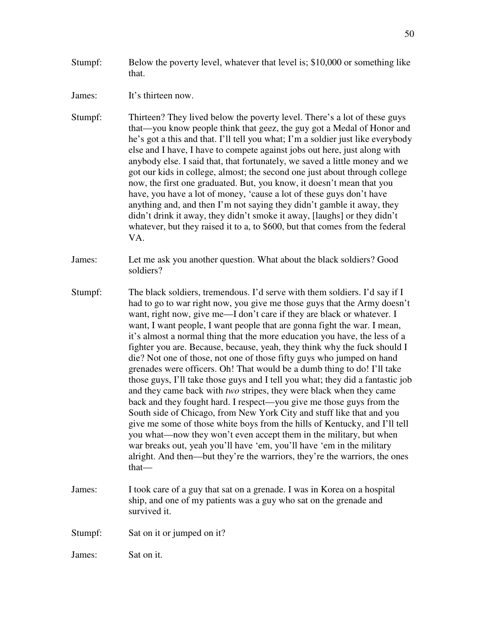Stumpf: Below the poverty level, whatever that level is; \$10,000 or something like that.

James: It's thirteen now.

- Stumpf: Thirteen? They lived below the poverty level. There's a lot of these guys that—you know people think that geez, the guy got a Medal of Honor and he's got a this and that. I'll tell you what; I'm a soldier just like everybody else and I have, I have to compete against jobs out here, just along with anybody else. I said that, that fortunately, we saved a little money and we got our kids in college, almost; the second one just about through college now, the first one graduated. But, you know, it doesn't mean that you have, you have a lot of money, 'cause a lot of these guys don't have anything and, and then I'm not saying they didn't gamble it away, they didn't drink it away, they didn't smoke it away, [laughs] or they didn't whatever, but they raised it to a, to \$600, but that comes from the federal VA.
- James: Let me ask you another question. What about the black soldiers? Good soldiers?
- Stumpf: The black soldiers, tremendous. I'd serve with them soldiers. I'd say if I had to go to war right now, you give me those guys that the Army doesn't want, right now, give me—I don't care if they are black or whatever. I want, I want people, I want people that are gonna fight the war. I mean, it's almost a normal thing that the more education you have, the less of a fighter you are. Because, because, yeah, they think why the fuck should I die? Not one of those, not one of those fifty guys who jumped on hand grenades were officers. Oh! That would be a dumb thing to do! I'll take those guys, I'll take those guys and I tell you what; they did a fantastic job and they came back with *two* stripes, they were black when they came back and they fought hard. I respect—you give me those guys from the South side of Chicago, from New York City and stuff like that and you give me some of those white boys from the hills of Kentucky, and I'll tell you what—now they won't even accept them in the military, but when war breaks out, yeah you'll have 'em, you'll have 'em in the military alright. And then—but they're the warriors, they're the warriors, the ones that—
- James: I took care of a guy that sat on a grenade. I was in Korea on a hospital ship, and one of my patients was a guy who sat on the grenade and survived it.

Stumpf: Sat on it or jumped on it?

James: Sat on it.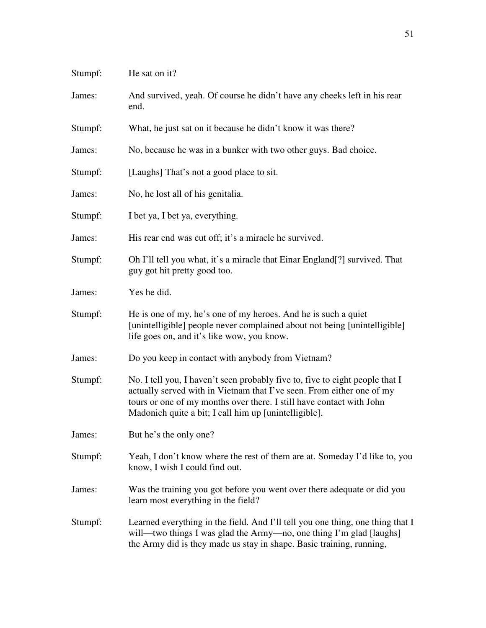| Stumpf: | He sat on it?                                                                                                                                                                                                                                                                          |
|---------|----------------------------------------------------------------------------------------------------------------------------------------------------------------------------------------------------------------------------------------------------------------------------------------|
| James:  | And survived, yeah. Of course he didn't have any cheeks left in his rear<br>end.                                                                                                                                                                                                       |
| Stumpf: | What, he just sat on it because he didn't know it was there?                                                                                                                                                                                                                           |
| James:  | No, because he was in a bunker with two other guys. Bad choice.                                                                                                                                                                                                                        |
| Stumpf: | [Laughs] That's not a good place to sit.                                                                                                                                                                                                                                               |
| James:  | No, he lost all of his genitalia.                                                                                                                                                                                                                                                      |
| Stumpf: | I bet ya, I bet ya, everything.                                                                                                                                                                                                                                                        |
| James:  | His rear end was cut off; it's a miracle he survived.                                                                                                                                                                                                                                  |
| Stumpf: | Oh I'll tell you what, it's a miracle that <b>Einar England</b> [?] survived. That<br>guy got hit pretty good too.                                                                                                                                                                     |
| James:  | Yes he did.                                                                                                                                                                                                                                                                            |
| Stumpf: | He is one of my, he's one of my heroes. And he is such a quiet<br>[unintelligible] people never complained about not being [unintelligible]<br>life goes on, and it's like wow, you know.                                                                                              |
| James:  | Do you keep in contact with anybody from Vietnam?                                                                                                                                                                                                                                      |
| Stumpf: | No. I tell you, I haven't seen probably five to, five to eight people that I<br>actually served with in Vietnam that I've seen. From either one of my<br>tours or one of my months over there. I still have contact with John<br>Madonich quite a bit; I call him up [unintelligible]. |
| James:  | But he's the only one?                                                                                                                                                                                                                                                                 |
| Stumpf: | Yeah, I don't know where the rest of them are at. Someday I'd like to, you<br>know, I wish I could find out.                                                                                                                                                                           |
| James:  | Was the training you got before you went over there adequate or did you<br>learn most everything in the field?                                                                                                                                                                         |
| Stumpf: | Learned everything in the field. And I'll tell you one thing, one thing that I<br>will—two things I was glad the Army—no, one thing I'm glad [laughs]<br>the Army did is they made us stay in shape. Basic training, running,                                                          |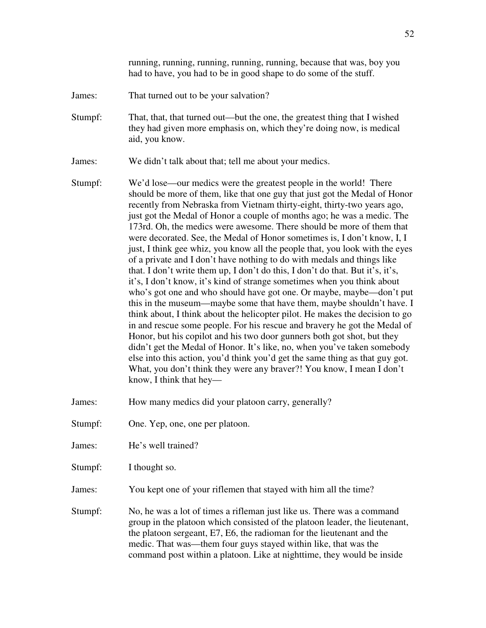running, running, running, running, running, because that was, boy you had to have, you had to be in good shape to do some of the stuff.

- James: That turned out to be your salvation?
- Stumpf: That, that, that turned out—but the one, the greatest thing that I wished they had given more emphasis on, which they're doing now, is medical aid, you know.

James: We didn't talk about that; tell me about your medics.

- Stumpf: We'd lose—our medics were the greatest people in the world! There should be more of them, like that one guy that just got the Medal of Honor recently from Nebraska from Vietnam thirty-eight, thirty-two years ago, just got the Medal of Honor a couple of months ago; he was a medic. The 173rd. Oh, the medics were awesome. There should be more of them that were decorated. See, the Medal of Honor sometimes is, I don't know, I, I just, I think gee whiz, you know all the people that, you look with the eyes of a private and I don't have nothing to do with medals and things like that. I don't write them up, I don't do this, I don't do that. But it's, it's, it's, I don't know, it's kind of strange sometimes when you think about who's got one and who should have got one. Or maybe, maybe—don't put this in the museum—maybe some that have them, maybe shouldn't have. I think about, I think about the helicopter pilot. He makes the decision to go in and rescue some people. For his rescue and bravery he got the Medal of Honor, but his copilot and his two door gunners both got shot, but they didn't get the Medal of Honor. It's like, no, when you've taken somebody else into this action, you'd think you'd get the same thing as that guy got. What, you don't think they were any braver?! You know, I mean I don't know, I think that hey—
- James: How many medics did your platoon carry, generally?
- Stumpf: One. Yep, one, one per platoon.
- James: He's well trained?
- Stumpf: I thought so.
- James: You kept one of your riflemen that stayed with him all the time?
- Stumpf: No, he was a lot of times a rifleman just like us. There was a command group in the platoon which consisted of the platoon leader, the lieutenant, the platoon sergeant, E7, E6, the radioman for the lieutenant and the medic. That was—them four guys stayed within like, that was the command post within a platoon. Like at nighttime, they would be inside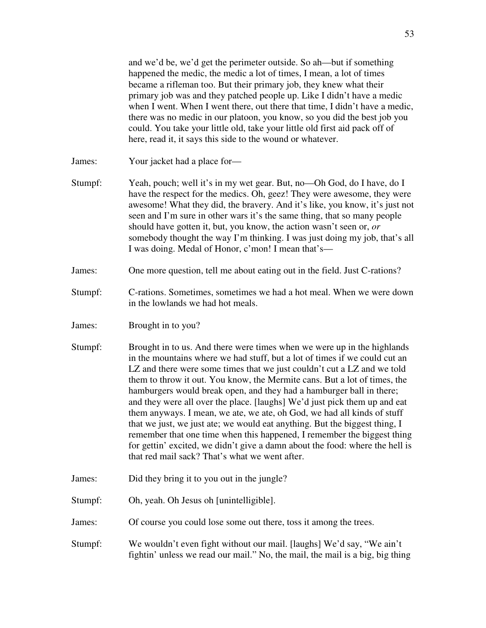and we'd be, we'd get the perimeter outside. So ah—but if something happened the medic, the medic a lot of times, I mean, a lot of times became a rifleman too. But their primary job, they knew what their primary job was and they patched people up. Like I didn't have a medic when I went. When I went there, out there that time, I didn't have a medic, there was no medic in our platoon, you know, so you did the best job you could. You take your little old, take your little old first aid pack off of here, read it, it says this side to the wound or whatever.

James: Your jacket had a place for—

- Stumpf: Yeah, pouch; well it's in my wet gear. But, no—Oh God, do I have, do I have the respect for the medics. Oh, geez! They were awesome, they were awesome! What they did, the bravery. And it's like, you know, it's just not seen and I'm sure in other wars it's the same thing, that so many people should have gotten it, but, you know, the action wasn't seen or, *or* somebody thought the way I'm thinking. I was just doing my job, that's all I was doing. Medal of Honor, c'mon! I mean that's—
- James: One more question, tell me about eating out in the field. Just C-rations?
- Stumpf: C-rations. Sometimes, sometimes we had a hot meal. When we were down in the lowlands we had hot meals.
- James: Brought in to you?
- Stumpf: Brought in to us. And there were times when we were up in the highlands in the mountains where we had stuff, but a lot of times if we could cut an LZ and there were some times that we just couldn't cut a LZ and we told them to throw it out. You know, the Mermite cans. But a lot of times, the hamburgers would break open, and they had a hamburger ball in there; and they were all over the place. [laughs] We'd just pick them up and eat them anyways. I mean, we ate, we ate, oh God, we had all kinds of stuff that we just, we just ate; we would eat anything. But the biggest thing, I remember that one time when this happened, I remember the biggest thing for gettin' excited, we didn't give a damn about the food: where the hell is that red mail sack? That's what we went after.
- James: Did they bring it to you out in the jungle?
- Stumpf: Oh, yeah. Oh Jesus oh [unintelligible].
- James: Of course you could lose some out there, toss it among the trees.
- Stumpf: We wouldn't even fight without our mail. [laughs] We'd say, "We ain't fightin' unless we read our mail." No, the mail, the mail is a big, big thing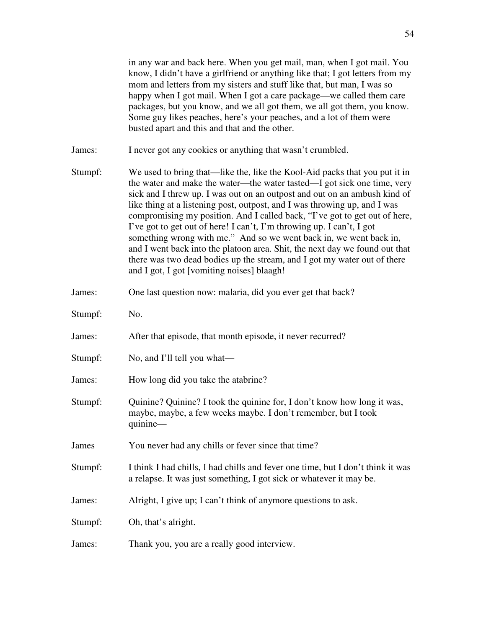in any war and back here. When you get mail, man, when I got mail. You know, I didn't have a girlfriend or anything like that; I got letters from my mom and letters from my sisters and stuff like that, but man, I was so happy when I got mail. When I got a care package—we called them care packages, but you know, and we all got them, we all got them, you know. Some guy likes peaches, here's your peaches, and a lot of them were busted apart and this and that and the other.

- James: I never got any cookies or anything that wasn't crumbled.
- Stumpf: We used to bring that—like the, like the Kool-Aid packs that you put it in the water and make the water—the water tasted—I got sick one time, very sick and I threw up. I was out on an outpost and out on an ambush kind of like thing at a listening post, outpost, and I was throwing up, and I was compromising my position. And I called back, "I've got to get out of here, I've got to get out of here! I can't, I'm throwing up. I can't, I got something wrong with me." And so we went back in, we went back in, and I went back into the platoon area. Shit, the next day we found out that there was two dead bodies up the stream, and I got my water out of there and I got, I got [vomiting noises] blaagh!
- James: One last question now: malaria, did you ever get that back?
- Stumpf: No.
- James: After that episode, that month episode, it never recurred?
- Stumpf: No, and I'll tell you what—
- James: How long did you take the atabrine?
- Stumpf: Quinine? Quinine? I took the quinine for, I don't know how long it was, maybe, maybe, a few weeks maybe. I don't remember, but I took quinine—
- James You never had any chills or fever since that time?
- Stumpf: I think I had chills, I had chills and fever one time, but I don't think it was a relapse. It was just something, I got sick or whatever it may be.
- James: Alright, I give up; I can't think of anymore questions to ask.
- Stumpf: Oh, that's alright.
- James: Thank you, you are a really good interview.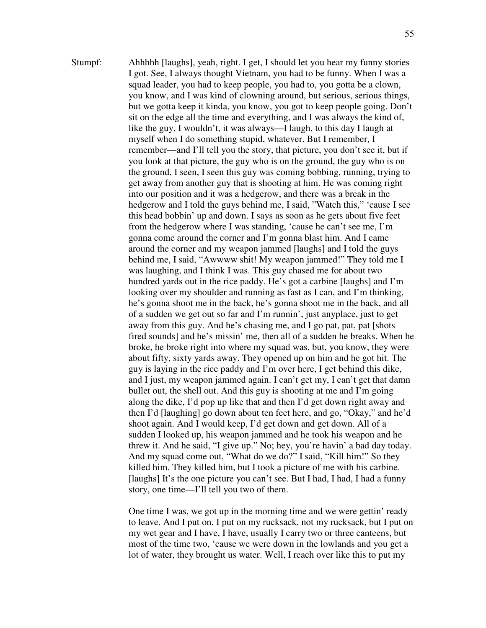Stumpf: Ahhhhh [laughs], yeah, right. I get, I should let you hear my funny stories I got. See, I always thought Vietnam, you had to be funny. When I was a squad leader, you had to keep people, you had to, you gotta be a clown, you know, and I was kind of clowning around, but serious, serious things, but we gotta keep it kinda, you know, you got to keep people going. Don't sit on the edge all the time and everything, and I was always the kind of, like the guy, I wouldn't, it was always—I laugh, to this day I laugh at myself when I do something stupid, whatever. But I remember, I remember—and I'll tell you the story, that picture, you don't see it, but if you look at that picture, the guy who is on the ground, the guy who is on the ground, I seen, I seen this guy was coming bobbing, running, trying to get away from another guy that is shooting at him. He was coming right into our position and it was a hedgerow, and there was a break in the hedgerow and I told the guys behind me, I said, "Watch this," 'cause I see this head bobbin' up and down. I says as soon as he gets about five feet from the hedgerow where I was standing, 'cause he can't see me, I'm gonna come around the corner and I'm gonna blast him. And I came around the corner and my weapon jammed [laughs] and I told the guys behind me, I said, "Awwww shit! My weapon jammed!" They told me I was laughing, and I think I was. This guy chased me for about two hundred yards out in the rice paddy. He's got a carbine [laughs] and I'm looking over my shoulder and running as fast as I can, and I'm thinking, he's gonna shoot me in the back, he's gonna shoot me in the back, and all of a sudden we get out so far and I'm runnin', just anyplace, just to get away from this guy. And he's chasing me, and I go pat, pat, pat [shots fired sounds] and he's missin' me, then all of a sudden he breaks. When he broke, he broke right into where my squad was, but, you know, they were about fifty, sixty yards away. They opened up on him and he got hit. The guy is laying in the rice paddy and I'm over here, I get behind this dike, and I just, my weapon jammed again. I can't get my, I can't get that damn bullet out, the shell out. And this guy is shooting at me and I'm going along the dike, I'd pop up like that and then I'd get down right away and then I'd [laughing] go down about ten feet here, and go, "Okay," and he'd shoot again. And I would keep, I'd get down and get down. All of a sudden I looked up, his weapon jammed and he took his weapon and he threw it. And he said, "I give up." No; hey, you're havin' a bad day today. And my squad come out, "What do we do?" I said, "Kill him!" So they killed him. They killed him, but I took a picture of me with his carbine. [laughs] It's the one picture you can't see. But I had, I had, I had a funny story, one time—I'll tell you two of them.

> One time I was, we got up in the morning time and we were gettin' ready to leave. And I put on, I put on my rucksack, not my rucksack, but I put on my wet gear and I have, I have, usually I carry two or three canteens, but most of the time two, 'cause we were down in the lowlands and you get a lot of water, they brought us water. Well, I reach over like this to put my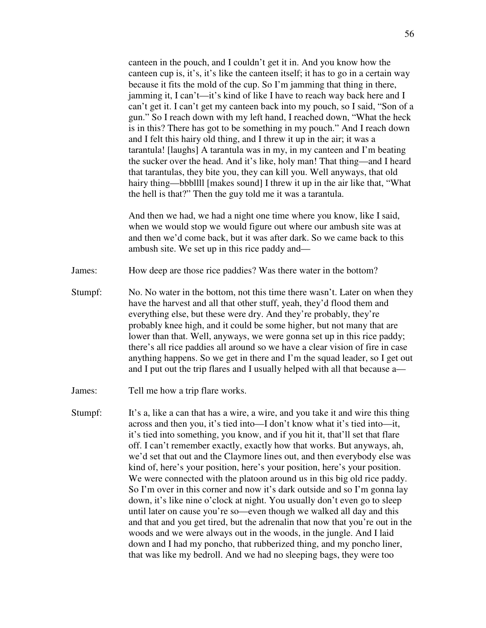canteen in the pouch, and I couldn't get it in. And you know how the canteen cup is, it's, it's like the canteen itself; it has to go in a certain way because it fits the mold of the cup. So I'm jamming that thing in there, jamming it, I can't—it's kind of like I have to reach way back here and I can't get it. I can't get my canteen back into my pouch, so I said, "Son of a gun." So I reach down with my left hand, I reached down, "What the heck is in this? There has got to be something in my pouch." And I reach down and I felt this hairy old thing, and I threw it up in the air; it was a tarantula! [laughs] A tarantula was in my, in my canteen and I'm beating the sucker over the head. And it's like, holy man! That thing—and I heard that tarantulas, they bite you, they can kill you. Well anyways, that old hairy thing—bbbllll [makes sound] I threw it up in the air like that, "What the hell is that?" Then the guy told me it was a tarantula.

 And then we had, we had a night one time where you know, like I said, when we would stop we would figure out where our ambush site was at and then we'd come back, but it was after dark. So we came back to this ambush site. We set up in this rice paddy and—

James: How deep are those rice paddies? Was there water in the bottom?

- Stumpf: No. No water in the bottom, not this time there wasn't. Later on when they have the harvest and all that other stuff, yeah, they'd flood them and everything else, but these were dry. And they're probably, they're probably knee high, and it could be some higher, but not many that are lower than that. Well, anyways, we were gonna set up in this rice paddy; there's all rice paddies all around so we have a clear vision of fire in case anything happens. So we get in there and I'm the squad leader, so I get out and I put out the trip flares and I usually helped with all that because a—
- James: Tell me how a trip flare works.
- Stumpf: It's a, like a can that has a wire, a wire, and you take it and wire this thing across and then you, it's tied into—I don't know what it's tied into—it, it's tied into something, you know, and if you hit it, that'll set that flare off. I can't remember exactly, exactly how that works. But anyways, ah, we'd set that out and the Claymore lines out, and then everybody else was kind of, here's your position, here's your position, here's your position. We were connected with the platoon around us in this big old rice paddy. So I'm over in this corner and now it's dark outside and so I'm gonna lay down, it's like nine o'clock at night. You usually don't even go to sleep until later on cause you're so—even though we walked all day and this and that and you get tired, but the adrenalin that now that you're out in the woods and we were always out in the woods, in the jungle. And I laid down and I had my poncho, that rubberized thing, and my poncho liner, that was like my bedroll. And we had no sleeping bags, they were too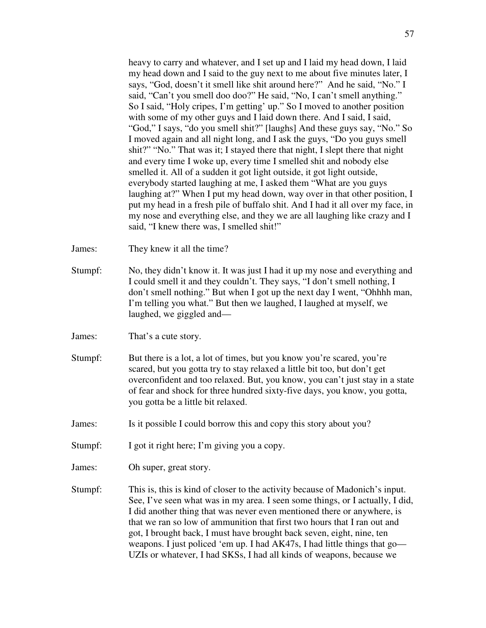heavy to carry and whatever, and I set up and I laid my head down, I laid my head down and I said to the guy next to me about five minutes later, I says, "God, doesn't it smell like shit around here?" And he said, "No." I said, "Can't you smell doo doo?" He said, "No, I can't smell anything." So I said, "Holy cripes, I'm getting' up." So I moved to another position with some of my other guys and I laid down there. And I said, I said, "God," I says, "do you smell shit?" [laughs] And these guys say, "No." So I moved again and all night long, and I ask the guys, "Do you guys smell shit?" "No." That was it; I stayed there that night, I slept there that night and every time I woke up, every time I smelled shit and nobody else smelled it. All of a sudden it got light outside, it got light outside, everybody started laughing at me, I asked them "What are you guys laughing at?" When I put my head down, way over in that other position, I put my head in a fresh pile of buffalo shit. And I had it all over my face, in my nose and everything else, and they we are all laughing like crazy and I said, "I knew there was, I smelled shit!"

- James: They knew it all the time?
- Stumpf: No, they didn't know it. It was just I had it up my nose and everything and I could smell it and they couldn't. They says, "I don't smell nothing, I don't smell nothing." But when I got up the next day I went, "Ohhhh man, I'm telling you what." But then we laughed, I laughed at myself, we laughed, we giggled and—
- James: That's a cute story.
- Stumpf: But there is a lot, a lot of times, but you know you're scared, you're scared, but you gotta try to stay relaxed a little bit too, but don't get overconfident and too relaxed. But, you know, you can't just stay in a state of fear and shock for three hundred sixty-five days, you know, you gotta, you gotta be a little bit relaxed.
- James: Is it possible I could borrow this and copy this story about you?
- Stumpf: I got it right here; I'm giving you a copy.
- James: Oh super, great story.
- Stumpf: This is, this is kind of closer to the activity because of Madonich's input. See, I've seen what was in my area. I seen some things, or I actually, I did, I did another thing that was never even mentioned there or anywhere, is that we ran so low of ammunition that first two hours that I ran out and got, I brought back, I must have brought back seven, eight, nine, ten weapons. I just policed 'em up. I had AK47s, I had little things that go— UZIs or whatever, I had SKSs, I had all kinds of weapons, because we